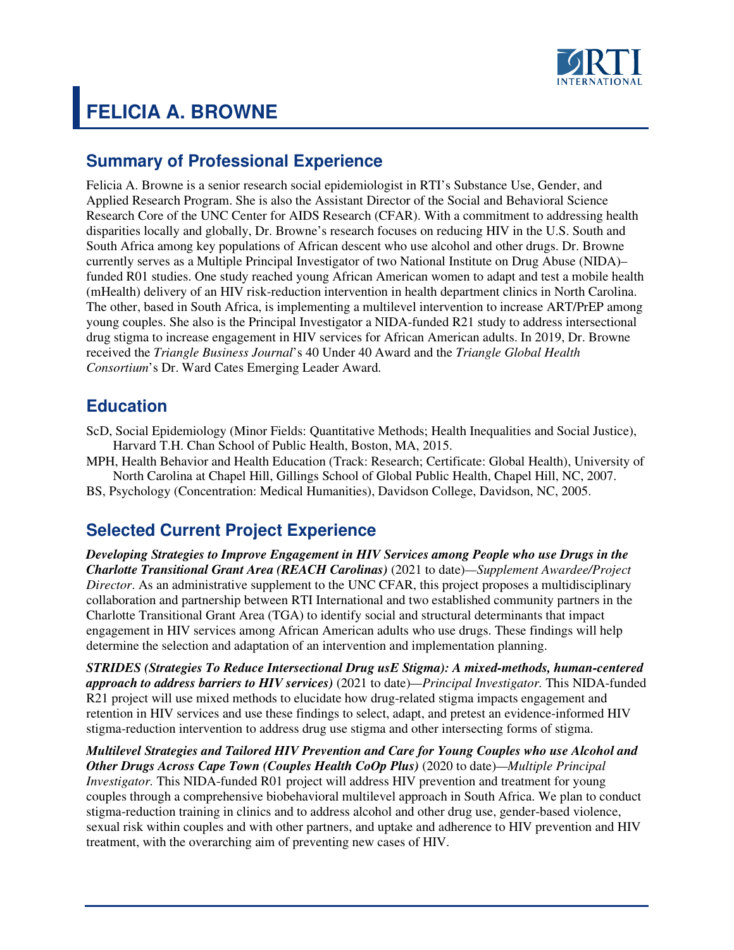

# **FELICIA A. BROWNE**

## **Summary of Professional Experience**

Felicia A. Browne is a senior research social epidemiologist in RTI's Substance Use, Gender, and Applied Research Program. She is also the Assistant Director of the Social and Behavioral Science Research Core of the UNC Center for AIDS Research (CFAR). With a commitment to addressing health disparities locally and globally, Dr. Browne's research focuses on reducing HIV in the U.S. South and South Africa among key populations of African descent who use alcohol and other drugs. Dr. Browne currently serves as a Multiple Principal Investigator of two National Institute on Drug Abuse (NIDA)– funded R01 studies. One study reached young African American women to adapt and test a mobile health (mHealth) delivery of an HIV risk-reduction intervention in health department clinics in North Carolina. The other, based in South Africa, is implementing a multilevel intervention to increase ART/PrEP among young couples. She also is the Principal Investigator a NIDA-funded R21 study to address intersectional drug stigma to increase engagement in HIV services for African American adults. In 2019, Dr. Browne received the *Triangle Business Journal*'s 40 Under 40 Award and the *Triangle Global Health Consortium*'s Dr. Ward Cates Emerging Leader Award.

# **Education**

ScD, Social Epidemiology (Minor Fields: Quantitative Methods; Health Inequalities and Social Justice), Harvard T.H. Chan School of Public Health, Boston, MA, 2015.

MPH, Health Behavior and Health Education (Track: Research; Certificate: Global Health), University of North Carolina at Chapel Hill, Gillings School of Global Public Health, Chapel Hill, NC, 2007.

BS, Psychology (Concentration: Medical Humanities), Davidson College, Davidson, NC, 2005.

# **Selected Current Project Experience**

*Developing Strategies to Improve Engagement in HIV Services among People who use Drugs in the Charlotte Transitional Grant Area (REACH Carolinas)* (2021 to date)*—Supplement Awardee/Project Director*. As an administrative supplement to the UNC CFAR, this project proposes a multidisciplinary collaboration and partnership between RTI International and two established community partners in the Charlotte Transitional Grant Area (TGA) to identify social and structural determinants that impact engagement in HIV services among African American adults who use drugs. These findings will help determine the selection and adaptation of an intervention and implementation planning.

*STRIDES (Strategies To Reduce Intersectional Drug usE Stigma): A mixed-methods, human-centered approach to address barriers to HIV services)* (2021 to date)*—Principal Investigator.* This NIDA-funded R21 project will use mixed methods to elucidate how drug-related stigma impacts engagement and retention in HIV services and use these findings to select, adapt, and pretest an evidence-informed HIV stigma-reduction intervention to address drug use stigma and other intersecting forms of stigma.

*Multilevel Strategies and Tailored HIV Prevention and Care for Young Couples who use Alcohol and Other Drugs Across Cape Town (Couples Health CoOp Plus)* (2020 to date)*—Multiple Principal Investigator.* This NIDA-funded R01 project will address HIV prevention and treatment for young couples through a comprehensive biobehavioral multilevel approach in South Africa. We plan to conduct stigma-reduction training in clinics and to address alcohol and other drug use, gender-based violence, sexual risk within couples and with other partners, and uptake and adherence to HIV prevention and HIV treatment, with the overarching aim of preventing new cases of HIV.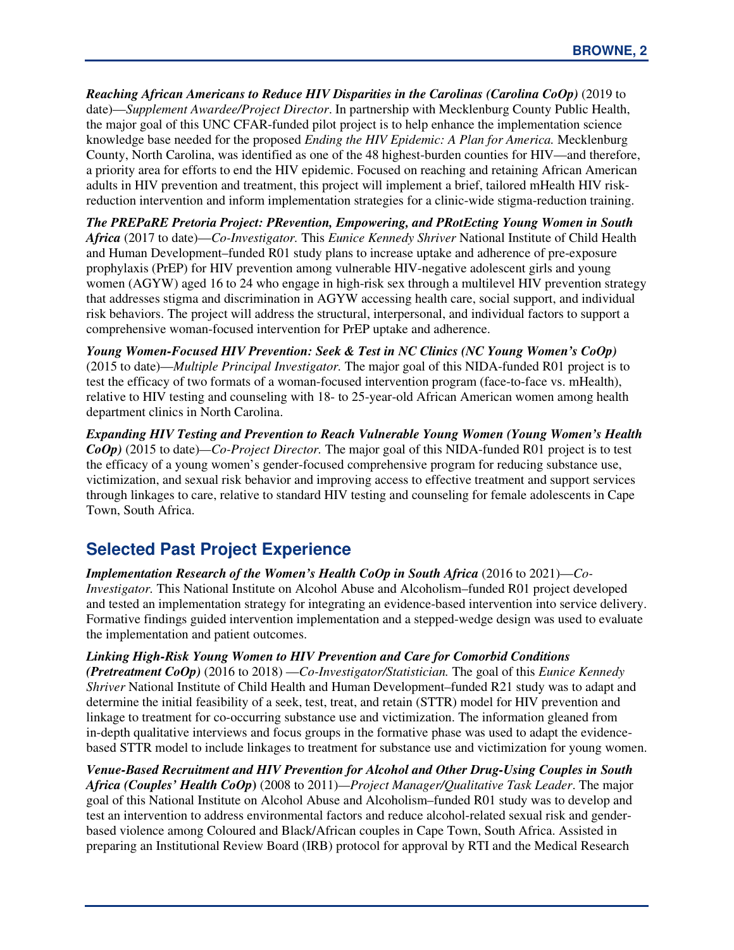*Reaching African Americans to Reduce HIV Disparities in the Carolinas (Carolina CoOp)* (2019 to date)—*Supplement Awardee/Project Director*. In partnership with Mecklenburg County Public Health, the major goal of this UNC CFAR-funded pilot project is to help enhance the implementation science knowledge base needed for the proposed *Ending the HIV Epidemic: A Plan for America.* Mecklenburg County, North Carolina, was identified as one of the 48 highest-burden counties for HIV—and therefore, a priority area for efforts to end the HIV epidemic. Focused on reaching and retaining African American adults in HIV prevention and treatment, this project will implement a brief, tailored mHealth HIV riskreduction intervention and inform implementation strategies for a clinic-wide stigma-reduction training.

*The PREPaRE Pretoria Project: PRevention, Empowering, and PRotEcting Young Women in South Africa* (2017 to date)—*Co-Investigator.* This *Eunice Kennedy Shriver* National Institute of Child Health and Human Development–funded R01 study plans to increase uptake and adherence of pre-exposure prophylaxis (PrEP) for HIV prevention among vulnerable HIV-negative adolescent girls and young women (AGYW) aged 16 to 24 who engage in high-risk sex through a multilevel HIV prevention strategy that addresses stigma and discrimination in AGYW accessing health care, social support, and individual risk behaviors. The project will address the structural, interpersonal, and individual factors to support a comprehensive woman-focused intervention for PrEP uptake and adherence.

*Young Women-Focused HIV Prevention: Seek & Test in NC Clinics (NC Young Women's CoOp)*  (2015 to date)—*Multiple Principal Investigator.* The major goal of this NIDA-funded R01 project is to test the efficacy of two formats of a woman-focused intervention program (face-to-face vs. mHealth), relative to HIV testing and counseling with 18- to 25-year-old African American women among health department clinics in North Carolina.

*Expanding HIV Testing and Prevention to Reach Vulnerable Young Women (Young Women's Health CoOp)* (2015 to date)*—Co-Project Director.* The major goal of this NIDA-funded R01 project is to test the efficacy of a young women's gender-focused comprehensive program for reducing substance use, victimization, and sexual risk behavior and improving access to effective treatment and support services through linkages to care, relative to standard HIV testing and counseling for female adolescents in Cape Town, South Africa.

# **Selected Past Project Experience**

*Implementation Research of the Women's Health CoOp in South Africa* (2016 to 2021)–*Co*-*Investigator.* This National Institute on Alcohol Abuse and Alcoholism–funded R01 project developed and tested an implementation strategy for integrating an evidence-based intervention into service delivery. Formative findings guided intervention implementation and a stepped-wedge design was used to evaluate the implementation and patient outcomes.

*Linking High-Risk Young Women to HIV Prevention and Care for Comorbid Conditions* 

*(Pretreatment CoOp)* (2016 to 2018) —*Co-Investigator/Statistician.* The goal of this *Eunice Kennedy Shriver* National Institute of Child Health and Human Development–funded R21 study was to adapt and determine the initial feasibility of a seek, test, treat, and retain (STTR) model for HIV prevention and linkage to treatment for co-occurring substance use and victimization. The information gleaned from in-depth qualitative interviews and focus groups in the formative phase was used to adapt the evidencebased STTR model to include linkages to treatment for substance use and victimization for young women.

*Venue-Based Recruitment and HIV Prevention for Alcohol and Other Drug-Using Couples in South Africa (Couples' Health CoOp***)** (2008 to 2011)*—Project Manager/Qualitative Task Leader*. The major goal of this National Institute on Alcohol Abuse and Alcoholism–funded R01 study was to develop and test an intervention to address environmental factors and reduce alcohol-related sexual risk and genderbased violence among Coloured and Black/African couples in Cape Town, South Africa. Assisted in preparing an Institutional Review Board (IRB) protocol for approval by RTI and the Medical Research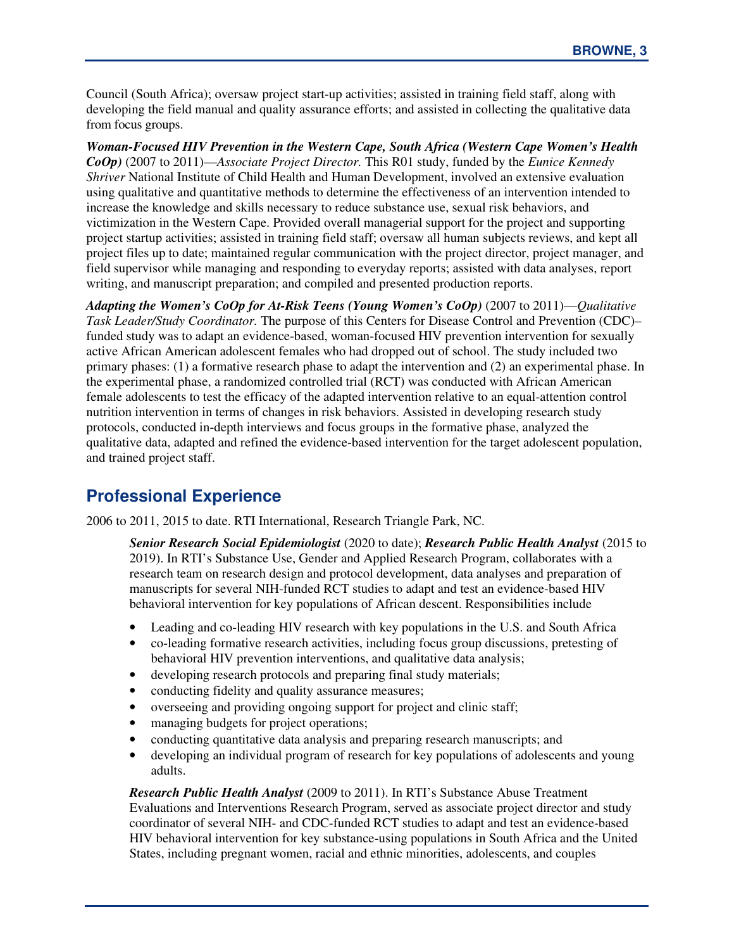Council (South Africa); oversaw project start-up activities; assisted in training field staff, along with developing the field manual and quality assurance efforts; and assisted in collecting the qualitative data from focus groups.

*Woman-Focused HIV Prevention in the Western Cape, South Africa (Western Cape Women's Health CoOp)* (2007 to 2011)—*Associate Project Director.* This R01 study, funded by the *Eunice Kennedy Shriver* National Institute of Child Health and Human Development, involved an extensive evaluation using qualitative and quantitative methods to determine the effectiveness of an intervention intended to increase the knowledge and skills necessary to reduce substance use, sexual risk behaviors, and victimization in the Western Cape. Provided overall managerial support for the project and supporting project startup activities; assisted in training field staff; oversaw all human subjects reviews, and kept all project files up to date; maintained regular communication with the project director, project manager, and field supervisor while managing and responding to everyday reports; assisted with data analyses, report writing, and manuscript preparation; and compiled and presented production reports.

*Adapting the Women's CoOp for At-Risk Teens (Young Women's CoOp)* (2007 to 2011)—*Qualitative Task Leader/Study Coordinator.* The purpose of this Centers for Disease Control and Prevention (CDC)– funded study was to adapt an evidence-based, woman-focused HIV prevention intervention for sexually active African American adolescent females who had dropped out of school. The study included two primary phases: (1) a formative research phase to adapt the intervention and (2) an experimental phase. In the experimental phase, a randomized controlled trial (RCT) was conducted with African American female adolescents to test the efficacy of the adapted intervention relative to an equal-attention control nutrition intervention in terms of changes in risk behaviors. Assisted in developing research study protocols, conducted in-depth interviews and focus groups in the formative phase, analyzed the qualitative data, adapted and refined the evidence-based intervention for the target adolescent population, and trained project staff.

# **Professional Experience**

2006 to 2011, 2015 to date. RTI International, Research Triangle Park, NC.

*Senior Research Social Epidemiologist* (2020 to date); *Research Public Health Analyst* (2015 to 2019). In RTI's Substance Use, Gender and Applied Research Program, collaborates with a research team on research design and protocol development, data analyses and preparation of manuscripts for several NIH-funded RCT studies to adapt and test an evidence-based HIV behavioral intervention for key populations of African descent. Responsibilities include

- Leading and co-leading HIV research with key populations in the U.S. and South Africa
- co-leading formative research activities, including focus group discussions, pretesting of behavioral HIV prevention interventions, and qualitative data analysis;
- developing research protocols and preparing final study materials;
- conducting fidelity and quality assurance measures;
- overseeing and providing ongoing support for project and clinic staff;
- managing budgets for project operations;
- conducting quantitative data analysis and preparing research manuscripts; and
- developing an individual program of research for key populations of adolescents and young adults.

*Research Public Health Analyst* (2009 to 2011). In RTI's Substance Abuse Treatment Evaluations and Interventions Research Program, served as associate project director and study coordinator of several NIH- and CDC-funded RCT studies to adapt and test an evidence-based HIV behavioral intervention for key substance-using populations in South Africa and the United States, including pregnant women, racial and ethnic minorities, adolescents, and couples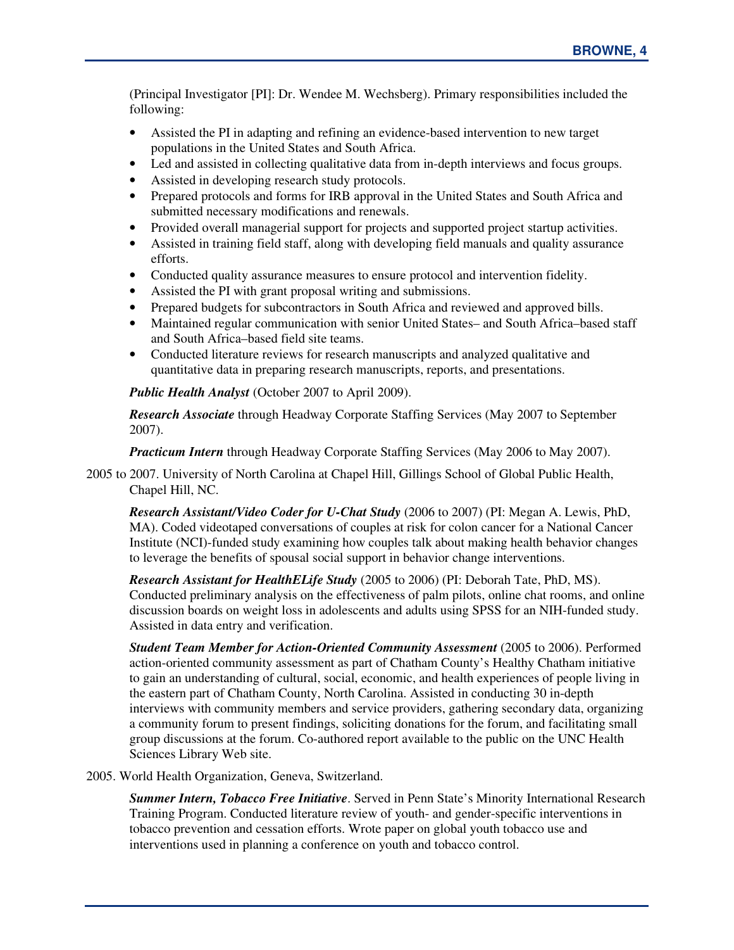(Principal Investigator [PI]: Dr. Wendee M. Wechsberg). Primary responsibilities included the following:

- Assisted the PI in adapting and refining an evidence-based intervention to new target populations in the United States and South Africa.
- Led and assisted in collecting qualitative data from in-depth interviews and focus groups.
- Assisted in developing research study protocols.
- Prepared protocols and forms for IRB approval in the United States and South Africa and submitted necessary modifications and renewals.
- Provided overall managerial support for projects and supported project startup activities.
- Assisted in training field staff, along with developing field manuals and quality assurance efforts.
- Conducted quality assurance measures to ensure protocol and intervention fidelity.
- Assisted the PI with grant proposal writing and submissions.
- Prepared budgets for subcontractors in South Africa and reviewed and approved bills.
- Maintained regular communication with senior United States– and South Africa–based staff and South Africa–based field site teams.
- Conducted literature reviews for research manuscripts and analyzed qualitative and quantitative data in preparing research manuscripts, reports, and presentations.

*Public Health Analyst* (October 2007 to April 2009).

*Research Associate* through Headway Corporate Staffing Services (May 2007 to September 2007).

*Practicum Intern* through Headway Corporate Staffing Services (May 2006 to May 2007).

2005 to 2007. University of North Carolina at Chapel Hill, Gillings School of Global Public Health, Chapel Hill, NC.

*Research Assistant/Video Coder for U-Chat Study* (2006 to 2007) (PI: Megan A. Lewis, PhD, MA). Coded videotaped conversations of couples at risk for colon cancer for a National Cancer Institute (NCI)-funded study examining how couples talk about making health behavior changes to leverage the benefits of spousal social support in behavior change interventions.

*Research Assistant for HealthELife Study* (2005 to 2006) (PI: Deborah Tate, PhD, MS). Conducted preliminary analysis on the effectiveness of palm pilots, online chat rooms, and online discussion boards on weight loss in adolescents and adults using SPSS for an NIH-funded study. Assisted in data entry and verification.

*Student Team Member for Action-Oriented Community Assessment* (2005 to 2006). Performed action-oriented community assessment as part of Chatham County's Healthy Chatham initiative to gain an understanding of cultural, social, economic, and health experiences of people living in the eastern part of Chatham County, North Carolina. Assisted in conducting 30 in-depth interviews with community members and service providers, gathering secondary data, organizing a community forum to present findings, soliciting donations for the forum, and facilitating small group discussions at the forum. Co-authored report available to the public on the UNC Health Sciences Library Web site.

2005. World Health Organization, Geneva, Switzerland.

*Summer Intern, Tobacco Free Initiative*. Served in Penn State's Minority International Research Training Program. Conducted literature review of youth- and gender-specific interventions in tobacco prevention and cessation efforts. Wrote paper on global youth tobacco use and interventions used in planning a conference on youth and tobacco control.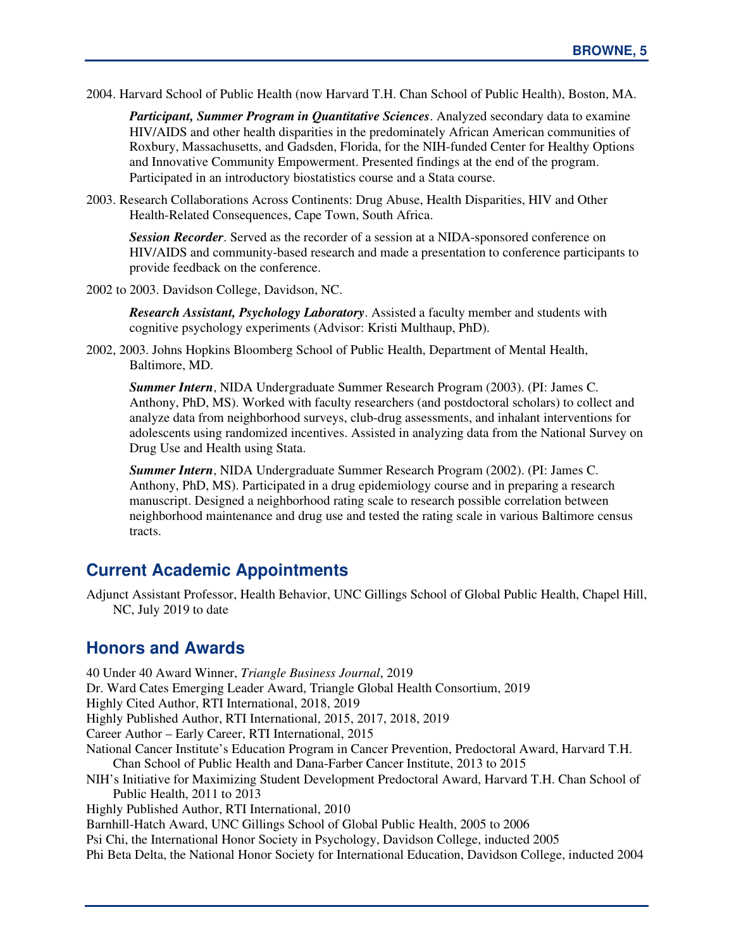2004. Harvard School of Public Health (now Harvard T.H. Chan School of Public Health), Boston, MA.

*Participant, Summer Program in Quantitative Sciences*. Analyzed secondary data to examine HIV/AIDS and other health disparities in the predominately African American communities of Roxbury, Massachusetts, and Gadsden, Florida, for the NIH-funded Center for Healthy Options and Innovative Community Empowerment. Presented findings at the end of the program. Participated in an introductory biostatistics course and a Stata course.

2003. Research Collaborations Across Continents: Drug Abuse, Health Disparities, HIV and Other Health-Related Consequences, Cape Town, South Africa.

*Session Recorder*. Served as the recorder of a session at a NIDA-sponsored conference on HIV/AIDS and community-based research and made a presentation to conference participants to provide feedback on the conference.

2002 to 2003. Davidson College, Davidson, NC.

*Research Assistant, Psychology Laboratory*. Assisted a faculty member and students with cognitive psychology experiments (Advisor: Kristi Multhaup, PhD).

2002, 2003. Johns Hopkins Bloomberg School of Public Health, Department of Mental Health, Baltimore, MD.

*Summer Intern*, NIDA Undergraduate Summer Research Program (2003). (PI: James C. Anthony, PhD, MS). Worked with faculty researchers (and postdoctoral scholars) to collect and analyze data from neighborhood surveys, club-drug assessments, and inhalant interventions for adolescents using randomized incentives. Assisted in analyzing data from the National Survey on Drug Use and Health using Stata.

*Summer Intern*, NIDA Undergraduate Summer Research Program (2002). (PI: James C. Anthony, PhD, MS). Participated in a drug epidemiology course and in preparing a research manuscript. Designed a neighborhood rating scale to research possible correlation between neighborhood maintenance and drug use and tested the rating scale in various Baltimore census tracts.

# **Current Academic Appointments**

Adjunct Assistant Professor, Health Behavior, UNC Gillings School of Global Public Health, Chapel Hill, NC, July 2019 to date

## **Honors and Awards**

40 Under 40 Award Winner, *Triangle Business Journal*, 2019 Dr. Ward Cates Emerging Leader Award, Triangle Global Health Consortium, 2019 Highly Cited Author, RTI International, 2018, 2019 Highly Published Author, RTI International, 2015, 2017, 2018, 2019 Career Author – Early Career, RTI International, 2015 National Cancer Institute's Education Program in Cancer Prevention, Predoctoral Award, Harvard T.H. Chan School of Public Health and Dana-Farber Cancer Institute, 2013 to 2015 NIH's Initiative for Maximizing Student Development Predoctoral Award, Harvard T.H. Chan School of Public Health, 2011 to 2013 Highly Published Author, RTI International, 2010 Barnhill-Hatch Award, UNC Gillings School of Global Public Health, 2005 to 2006 Psi Chi, the International Honor Society in Psychology, Davidson College, inducted 2005 Phi Beta Delta, the National Honor Society for International Education, Davidson College, inducted 2004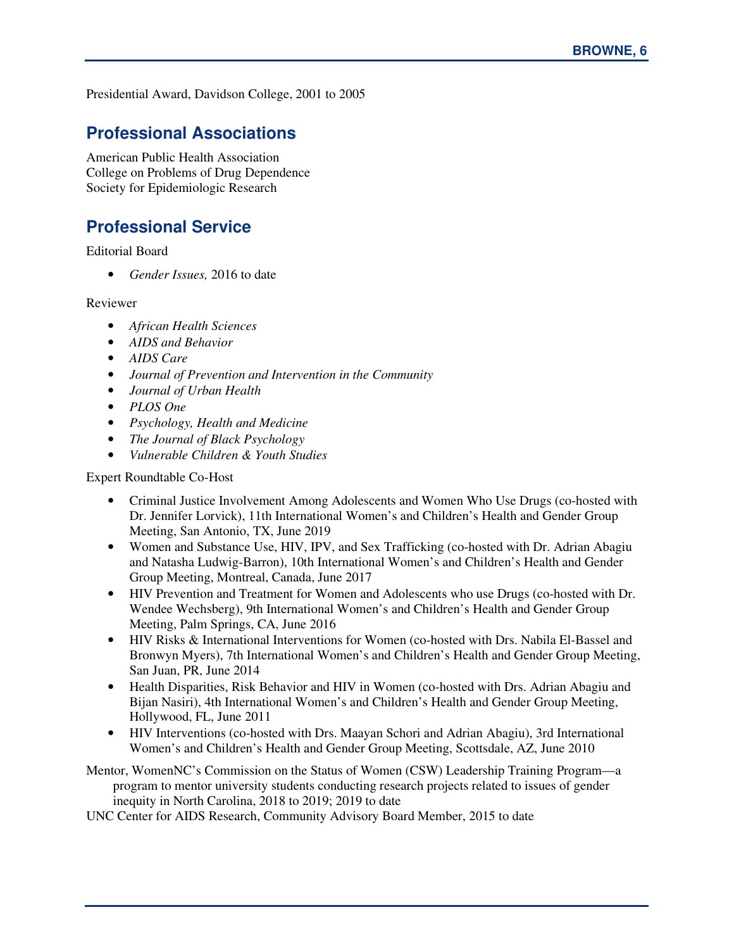Presidential Award, Davidson College, 2001 to 2005

# **Professional Associations**

American Public Health Association College on Problems of Drug Dependence Society for Epidemiologic Research

# **Professional Service**

Editorial Board

• *Gender Issues,* 2016 to date

Reviewer

- *African Health Sciences*
- *AIDS and Behavior*
- *AIDS Care*
- *Journal of Prevention and Intervention in the Community*
- *Journal of Urban Health*
- *PLOS One*
- *Psychology, Health and Medicine*
- *The Journal of Black Psychology*
- *Vulnerable Children & Youth Studies*

Expert Roundtable Co-Host

- Criminal Justice Involvement Among Adolescents and Women Who Use Drugs (co-hosted with Dr. Jennifer Lorvick), 11th International Women's and Children's Health and Gender Group Meeting, San Antonio, TX, June 2019
- Women and Substance Use, HIV, IPV, and Sex Trafficking (co-hosted with Dr. Adrian Abagiu and Natasha Ludwig-Barron), 10th International Women's and Children's Health and Gender Group Meeting, Montreal, Canada, June 2017
- HIV Prevention and Treatment for Women and Adolescents who use Drugs (co-hosted with Dr. Wendee Wechsberg), 9th International Women's and Children's Health and Gender Group Meeting, Palm Springs, CA, June 2016
- HIV Risks & International Interventions for Women (co-hosted with Drs. Nabila El-Bassel and Bronwyn Myers), 7th International Women's and Children's Health and Gender Group Meeting, San Juan, PR, June 2014
- Health Disparities, Risk Behavior and HIV in Women (co-hosted with Drs. Adrian Abagiu and Bijan Nasiri), 4th International Women's and Children's Health and Gender Group Meeting, Hollywood, FL, June 2011
- HIV Interventions (co-hosted with Drs. Maayan Schori and Adrian Abagiu), 3rd International Women's and Children's Health and Gender Group Meeting, Scottsdale, AZ, June 2010

Mentor, WomenNC's Commission on the Status of Women (CSW) Leadership Training Program—a program to mentor university students conducting research projects related to issues of gender inequity in North Carolina, 2018 to 2019; 2019 to date

UNC Center for AIDS Research, Community Advisory Board Member, 2015 to date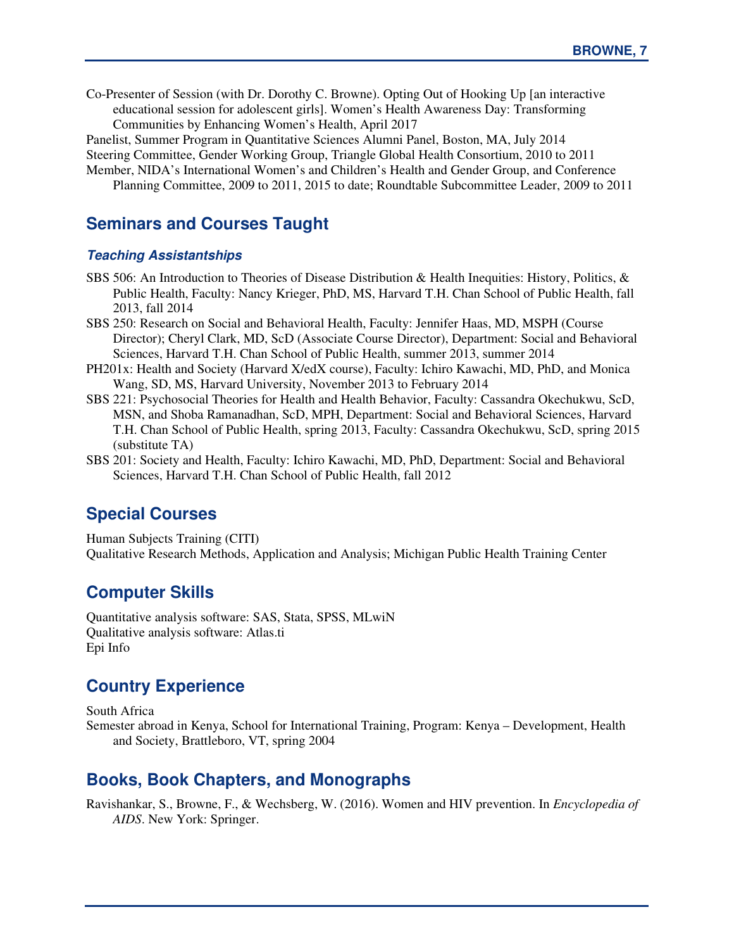Co-Presenter of Session (with Dr. Dorothy C. Browne). Opting Out of Hooking Up [an interactive educational session for adolescent girls]. Women's Health Awareness Day: Transforming Communities by Enhancing Women's Health, April 2017

Panelist, Summer Program in Quantitative Sciences Alumni Panel, Boston, MA, July 2014

Steering Committee, Gender Working Group, Triangle Global Health Consortium, 2010 to 2011

Member, NIDA's International Women's and Children's Health and Gender Group, and Conference Planning Committee, 2009 to 2011, 2015 to date; Roundtable Subcommittee Leader, 2009 to 2011

# **Seminars and Courses Taught**

#### **Teaching Assistantships**

- SBS 506: An Introduction to Theories of Disease Distribution & Health Inequities: History, Politics, & Public Health, Faculty: Nancy Krieger, PhD, MS, Harvard T.H. Chan School of Public Health, fall 2013, fall 2014
- SBS 250: Research on Social and Behavioral Health, Faculty: Jennifer Haas, MD, MSPH (Course Director); Cheryl Clark, MD, ScD (Associate Course Director), Department: Social and Behavioral Sciences, Harvard T.H. Chan School of Public Health, summer 2013, summer 2014
- PH201x: Health and Society (Harvard X/edX course), Faculty: Ichiro Kawachi, MD, PhD, and Monica Wang, SD, MS, Harvard University, November 2013 to February 2014
- SBS 221: Psychosocial Theories for Health and Health Behavior, Faculty: Cassandra Okechukwu, ScD, MSN, and Shoba Ramanadhan, ScD, MPH, Department: Social and Behavioral Sciences, Harvard T.H. Chan School of Public Health, spring 2013, Faculty: Cassandra Okechukwu, ScD, spring 2015 (substitute TA)
- SBS 201: Society and Health, Faculty: Ichiro Kawachi, MD, PhD, Department: Social and Behavioral Sciences, Harvard T.H. Chan School of Public Health, fall 2012

## **Special Courses**

Human Subjects Training (CITI) Qualitative Research Methods, Application and Analysis; Michigan Public Health Training Center

# **Computer Skills**

Quantitative analysis software: SAS, Stata, SPSS, MLwiN Qualitative analysis software: Atlas.ti Epi Info

## **Country Experience**

South Africa

Semester abroad in Kenya, School for International Training, Program: Kenya – Development, Health and Society, Brattleboro, VT, spring 2004

#### **Books, Book Chapters, and Monographs**

Ravishankar, S., Browne, F., & Wechsberg, W. (2016). Women and HIV prevention. In *Encyclopedia of AIDS*. New York: Springer.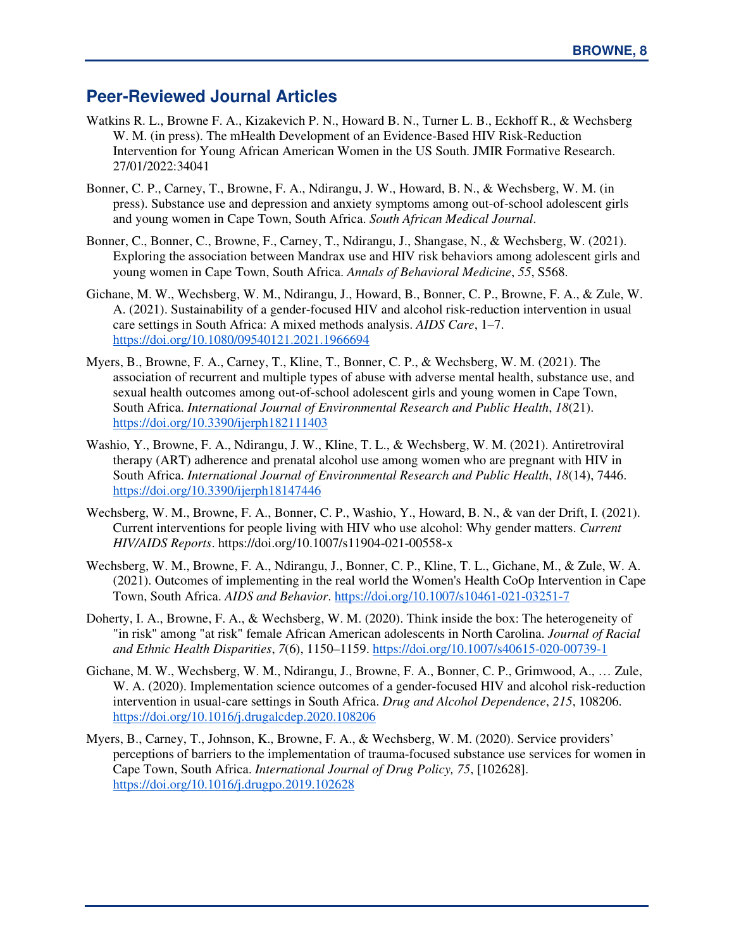## **Peer-Reviewed Journal Articles**

- Watkins R. L., Browne F. A., Kizakevich P. N., Howard B. N., Turner L. B., Eckhoff R., & Wechsberg W. M. (in press). The mHealth Development of an Evidence-Based HIV Risk-Reduction Intervention for Young African American Women in the US South. JMIR Formative Research. 27/01/2022:34041
- Bonner, C. P., Carney, T., Browne, F. A., Ndirangu, J. W., Howard, B. N., & Wechsberg, W. M. (in press). Substance use and depression and anxiety symptoms among out-of-school adolescent girls and young women in Cape Town, South Africa. *South African Medical Journal*.
- Bonner, C., Bonner, C., Browne, F., Carney, T., Ndirangu, J., Shangase, N., & Wechsberg, W. (2021). Exploring the association between Mandrax use and HIV risk behaviors among adolescent girls and young women in Cape Town, South Africa. *Annals of Behavioral Medicine*, *55*, S568.
- Gichane, M. W., Wechsberg, W. M., Ndirangu, J., Howard, B., Bonner, C. P., Browne, F. A., & Zule, W. A. (2021). Sustainability of a gender-focused HIV and alcohol risk-reduction intervention in usual care settings in South Africa: A mixed methods analysis. *AIDS Care*, 1–7. https://doi.org/10.1080/09540121.2021.1966694
- Myers, B., Browne, F. A., Carney, T., Kline, T., Bonner, C. P., & Wechsberg, W. M. (2021). The association of recurrent and multiple types of abuse with adverse mental health, substance use, and sexual health outcomes among out-of-school adolescent girls and young women in Cape Town, South Africa. *International Journal of Environmental Research and Public Health*, *18*(21). https://doi.org/10.3390/ijerph182111403
- Washio, Y., Browne, F. A., Ndirangu, J. W., Kline, T. L., & Wechsberg, W. M. (2021). Antiretroviral therapy (ART) adherence and prenatal alcohol use among women who are pregnant with HIV in South Africa. *International Journal of Environmental Research and Public Health*, *18*(14), 7446. https://doi.org/10.3390/ijerph18147446
- Wechsberg, W. M., Browne, F. A., Bonner, C. P., Washio, Y., Howard, B. N., & van der Drift, I. (2021). Current interventions for people living with HIV who use alcohol: Why gender matters. *Current HIV/AIDS Reports*. https://doi.org/10.1007/s11904-021-00558-x
- Wechsberg, W. M., Browne, F. A., Ndirangu, J., Bonner, C. P., Kline, T. L., Gichane, M., & Zule, W. A. (2021). Outcomes of implementing in the real world the Women's Health CoOp Intervention in Cape Town, South Africa. *AIDS and Behavior*. https://doi.org/10.1007/s10461-021-03251-7
- Doherty, I. A., Browne, F. A., & Wechsberg, W. M. (2020). Think inside the box: The heterogeneity of "in risk" among "at risk" female African American adolescents in North Carolina. *Journal of Racial and Ethnic Health Disparities*, *7*(6), 1150–1159. https://doi.org/10.1007/s40615-020-00739-1
- Gichane, M. W., Wechsberg, W. M., Ndirangu, J., Browne, F. A., Bonner, C. P., Grimwood, A., … Zule, W. A. (2020). Implementation science outcomes of a gender-focused HIV and alcohol risk-reduction intervention in usual-care settings in South Africa. *Drug and Alcohol Dependence*, *215*, 108206. https://doi.org/10.1016/j.drugalcdep.2020.108206
- Myers, B., Carney, T., Johnson, K., Browne, F. A., & Wechsberg, W. M. (2020). Service providers' perceptions of barriers to the implementation of trauma-focused substance use services for women in Cape Town, South Africa. *International Journal of Drug Policy, 75*, [102628]. https://doi.org/10.1016/j.drugpo.2019.102628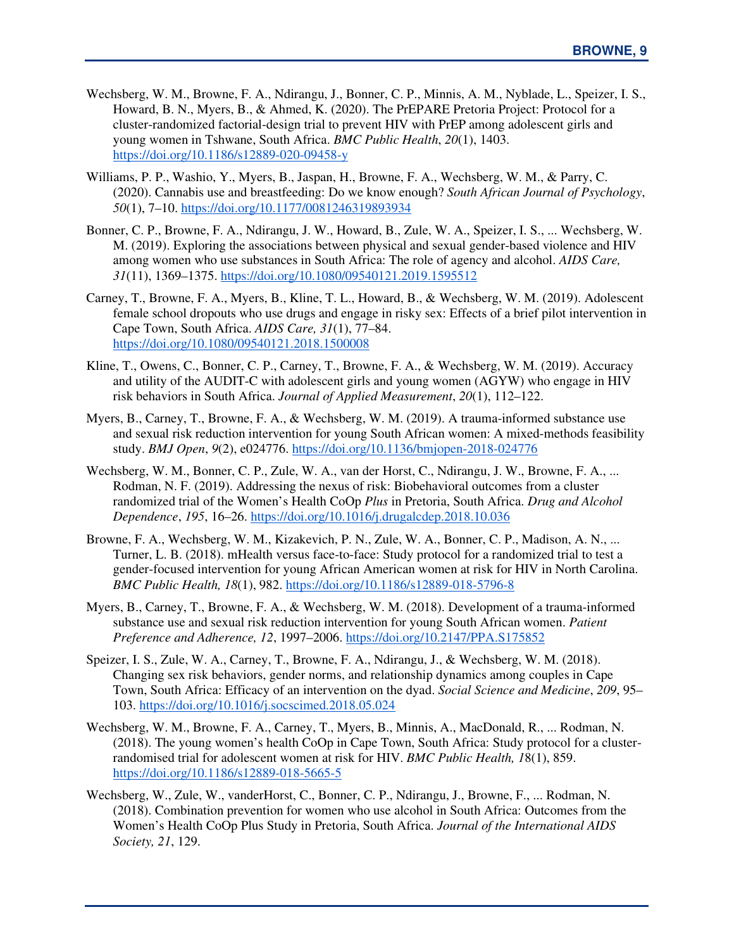- Wechsberg, W. M., Browne, F. A., Ndirangu, J., Bonner, C. P., Minnis, A. M., Nyblade, L., Speizer, I. S., Howard, B. N., Myers, B., & Ahmed, K. (2020). The PrEPARE Pretoria Project: Protocol for a cluster-randomized factorial-design trial to prevent HIV with PrEP among adolescent girls and young women in Tshwane, South Africa. *BMC Public Health*, *20*(1), 1403. https://doi.org/10.1186/s12889-020-09458-y
- Williams, P. P., Washio, Y., Myers, B., Jaspan, H., Browne, F. A., Wechsberg, W. M., & Parry, C. (2020). Cannabis use and breastfeeding: Do we know enough? *South African Journal of Psychology*, *50*(1), 7–10. https://doi.org/10.1177/0081246319893934
- Bonner, C. P., Browne, F. A., Ndirangu, J. W., Howard, B., Zule, W. A., Speizer, I. S., ... Wechsberg, W. M. (2019). Exploring the associations between physical and sexual gender-based violence and HIV among women who use substances in South Africa: The role of agency and alcohol. *AIDS Care, 31*(11), 1369–1375. https://doi.org/10.1080/09540121.2019.1595512
- Carney, T., Browne, F. A., Myers, B., Kline, T. L., Howard, B., & Wechsberg, W. M. (2019). Adolescent female school dropouts who use drugs and engage in risky sex: Effects of a brief pilot intervention in Cape Town, South Africa. *AIDS Care, 31*(1), 77–84. https://doi.org/10.1080/09540121.2018.1500008
- Kline, T., Owens, C., Bonner, C. P., Carney, T., Browne, F. A., & Wechsberg, W. M. (2019). Accuracy and utility of the AUDIT-C with adolescent girls and young women (AGYW) who engage in HIV risk behaviors in South Africa. *Journal of Applied Measurement*, *20*(1), 112–122.
- Myers, B., Carney, T., Browne, F. A., & Wechsberg, W. M. (2019). A trauma-informed substance use and sexual risk reduction intervention for young South African women: A mixed-methods feasibility study. *BMJ Open*, *9*(2), e024776. https://doi.org/10.1136/bmjopen-2018-024776
- Wechsberg, W. M., Bonner, C. P., Zule, W. A., van der Horst, C., Ndirangu, J. W., Browne, F. A., ... Rodman, N. F. (2019). Addressing the nexus of risk: Biobehavioral outcomes from a cluster randomized trial of the Women's Health CoOp *Plus* in Pretoria, South Africa. *Drug and Alcohol Dependence*, *195*, 16–26. https://doi.org/10.1016/j.drugalcdep.2018.10.036
- Browne, F. A., Wechsberg, W. M., Kizakevich, P. N., Zule, W. A., Bonner, C. P., Madison, A. N., ... Turner, L. B. (2018). mHealth versus face-to-face: Study protocol for a randomized trial to test a gender-focused intervention for young African American women at risk for HIV in North Carolina. *BMC Public Health, 18*(1), 982. https://doi.org/10.1186/s12889-018-5796-8
- Myers, B., Carney, T., Browne, F. A., & Wechsberg, W. M. (2018). Development of a trauma-informed substance use and sexual risk reduction intervention for young South African women. *Patient Preference and Adherence, 12*, 1997–2006. https://doi.org/10.2147/PPA.S175852
- Speizer, I. S., Zule, W. A., Carney, T., Browne, F. A., Ndirangu, J., & Wechsberg, W. M. (2018). Changing sex risk behaviors, gender norms, and relationship dynamics among couples in Cape Town, South Africa: Efficacy of an intervention on the dyad. *Social Science and Medicine*, *209*, 95– 103. https://doi.org/10.1016/j.socscimed.2018.05.024
- Wechsberg, W. M., Browne, F. A., Carney, T., Myers, B., Minnis, A., MacDonald, R., ... Rodman, N. (2018). The young women's health CoOp in Cape Town, South Africa: Study protocol for a clusterrandomised trial for adolescent women at risk for HIV. *BMC Public Health, 1*8(1), 859. https://doi.org/10.1186/s12889-018-5665-5
- Wechsberg, W., Zule, W., vanderHorst, C., Bonner, C. P., Ndirangu, J., Browne, F., ... Rodman, N. (2018). Combination prevention for women who use alcohol in South Africa: Outcomes from the Women's Health CoOp Plus Study in Pretoria, South Africa. *Journal of the International AIDS Society, 21*, 129.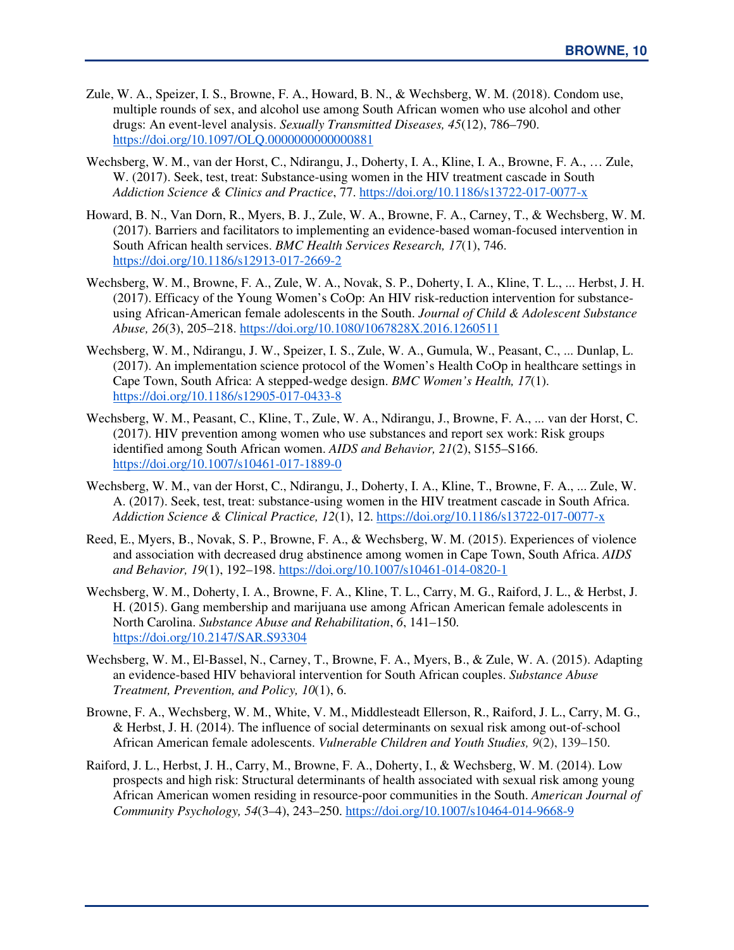- Zule, W. A., Speizer, I. S., Browne, F. A., Howard, B. N., & Wechsberg, W. M. (2018). Condom use, multiple rounds of sex, and alcohol use among South African women who use alcohol and other drugs: An event-level analysis. *Sexually Transmitted Diseases, 45*(12), 786–790. https://doi.org/10.1097/OLO.00000000000000881
- Wechsberg, W. M., van der Horst, C., Ndirangu, J., Doherty, I. A., Kline, I. A., Browne, F. A., … Zule, W. (2017). Seek, test, treat: Substance-using women in the HIV treatment cascade in South *Addiction Science & Clinics and Practice*, 77. https://doi.org/10.1186/s13722-017-0077-x
- Howard, B. N., Van Dorn, R., Myers, B. J., Zule, W. A., Browne, F. A., Carney, T., & Wechsberg, W. M. (2017). Barriers and facilitators to implementing an evidence-based woman-focused intervention in South African health services. *BMC Health Services Research, 17*(1), 746. https://doi.org/10.1186/s12913-017-2669-2
- Wechsberg, W. M., Browne, F. A., Zule, W. A., Novak, S. P., Doherty, I. A., Kline, T. L., ... Herbst, J. H. (2017). Efficacy of the Young Women's CoOp: An HIV risk-reduction intervention for substanceusing African-American female adolescents in the South. *Journal of Child & Adolescent Substance Abuse, 26*(3), 205–218. https://doi.org/10.1080/1067828X.2016.1260511
- Wechsberg, W. M., Ndirangu, J. W., Speizer, I. S., Zule, W. A., Gumula, W., Peasant, C., ... Dunlap, L. (2017). An implementation science protocol of the Women's Health CoOp in healthcare settings in Cape Town, South Africa: A stepped-wedge design. *BMC Women's Health, 17*(1). https://doi.org/10.1186/s12905-017-0433-8
- Wechsberg, W. M., Peasant, C., Kline, T., Zule, W. A., Ndirangu, J., Browne, F. A., ... van der Horst, C. (2017). HIV prevention among women who use substances and report sex work: Risk groups identified among South African women. *AIDS and Behavior, 21*(2), S155–S166. https://doi.org/10.1007/s10461-017-1889-0
- Wechsberg, W. M., van der Horst, C., Ndirangu, J., Doherty, I. A., Kline, T., Browne, F. A., ... Zule, W. A. (2017). Seek, test, treat: substance-using women in the HIV treatment cascade in South Africa. *Addiction Science & Clinical Practice, 12*(1), 12. https://doi.org/10.1186/s13722-017-0077-x
- Reed, E., Myers, B., Novak, S. P., Browne, F. A., & Wechsberg, W. M. (2015). Experiences of violence and association with decreased drug abstinence among women in Cape Town, South Africa. *AIDS and Behavior, 19*(1), 192–198. https://doi.org/10.1007/s10461-014-0820-1
- Wechsberg, W. M., Doherty, I. A., Browne, F. A., Kline, T. L., Carry, M. G., Raiford, J. L., & Herbst, J. H. (2015). Gang membership and marijuana use among African American female adolescents in North Carolina. *Substance Abuse and Rehabilitation*, *6*, 141–150. https://doi.org/10.2147/SAR.S93304
- Wechsberg, W. M., El-Bassel, N., Carney, T., Browne, F. A., Myers, B., & Zule, W. A. (2015). Adapting an evidence-based HIV behavioral intervention for South African couples. *Substance Abuse Treatment, Prevention, and Policy, 10*(1), 6.
- Browne, F. A., Wechsberg, W. M., White, V. M., Middlesteadt Ellerson, R., Raiford, J. L., Carry, M. G., & Herbst, J. H. (2014). The influence of social determinants on sexual risk among out-of-school African American female adolescents. *Vulnerable Children and Youth Studies, 9*(2), 139–150.
- Raiford, J. L., Herbst, J. H., Carry, M., Browne, F. A., Doherty, I., & Wechsberg, W. M. (2014). Low prospects and high risk: Structural determinants of health associated with sexual risk among young African American women residing in resource-poor communities in the South. *American Journal of Community Psychology, 54*(3–4), 243–250. https://doi.org/10.1007/s10464-014-9668-9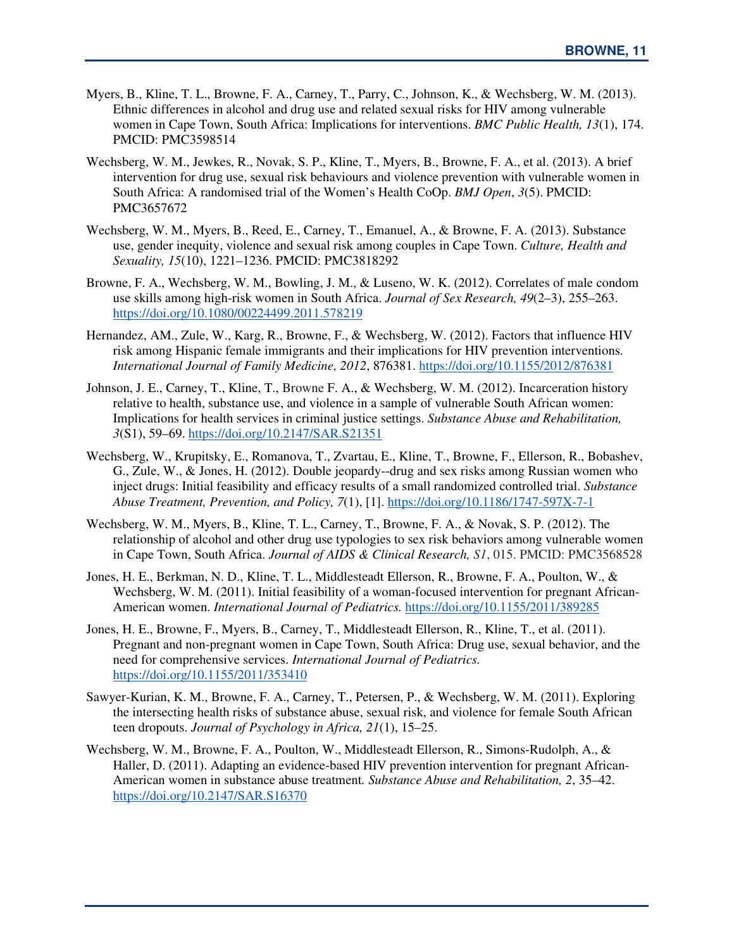- Myers, B., Kline, T. L., Browne, F. A., Carney, T., Parry, C., Johnson, K., & Wechsberg, W. M. (2013). Ethnic differences in alcohol and drug use and related sexual risks for HIV among vulnerable women in Cape Town, South Africa: Implications for interventions. *BMC Public Health, 13*(1), 174. PMCID: PMC3598514
- Wechsberg, W. M., Jewkes, R., Novak, S. P., Kline, T., Myers, B., Browne, F. A., et al. (2013). A brief intervention for drug use, sexual risk behaviours and violence prevention with vulnerable women in South Africa: A randomised trial of the Women's Health CoOp. *BMJ Open*, *3*(5). PMCID: PMC3657672
- Wechsberg, W. M., Myers, B., Reed, E., Carney, T., Emanuel, A., & Browne, F. A. (2013). Substance use, gender inequity, violence and sexual risk among couples in Cape Town. *Culture, Health and Sexuality, 15*(10), 1221–1236. PMCID: PMC3818292
- Browne, F. A., Wechsberg, W. M., Bowling, J. M., & Luseno, W. K. (2012). Correlates of male condom use skills among high-risk women in South Africa. *Journal of Sex Research, 49*(2–3), 255–263. https://doi.org/10.1080/00224499.2011.578219
- Hernandez, AM., Zule, W., Karg, R., Browne, F., & Wechsberg, W. (2012). Factors that influence HIV risk among Hispanic female immigrants and their implications for HIV prevention interventions. *International Journal of Family Medicine, 2012*, 876381. https://doi.org/10.1155/2012/876381
- Johnson, J. E., Carney, T., Kline, T., Browne F. A., & Wechsberg, W. M. (2012). Incarceration history relative to health, substance use, and violence in a sample of vulnerable South African women: Implications for health services in criminal justice settings. *Substance Abuse and Rehabilitation, 3*(S1), 59–69. https://doi.org/10.2147/SAR.S21351
- Wechsberg, W., Krupitsky, E., Romanova, T., Zvartau, E., Kline, T., Browne, F., Ellerson, R., Bobashev, G., Zule, W., & Jones, H. (2012). Double jeopardy--drug and sex risks among Russian women who inject drugs: Initial feasibility and efficacy results of a small randomized controlled trial. *Substance Abuse Treatment, Prevention, and Policy, 7*(1), [1]. https://doi.org/10.1186/1747-597X-7-1
- Wechsberg, W. M., Myers, B., Kline, T. L., Carney, T., Browne, F. A., & Novak, S. P. (2012). The relationship of alcohol and other drug use typologies to sex risk behaviors among vulnerable women in Cape Town, South Africa. *Journal of AIDS & Clinical Research, S1*, 015. PMCID: PMC3568528
- Jones, H. E., Berkman, N. D., Kline, T. L., Middlesteadt Ellerson, R., Browne, F. A., Poulton, W., & Wechsberg, W. M. (2011). Initial feasibility of a woman-focused intervention for pregnant African-American women. *International Journal of Pediatrics.* https://doi.org/10.1155/2011/389285
- Jones, H. E., Browne, F., Myers, B., Carney, T., Middlesteadt Ellerson, R., Kline, T., et al. (2011). Pregnant and non-pregnant women in Cape Town, South Africa: Drug use, sexual behavior, and the need for comprehensive services. *International Journal of Pediatrics.*  https://doi.org/10.1155/2011/353410
- Sawyer-Kurian, K. M., Browne, F. A., Carney, T., Petersen, P., & Wechsberg, W. M. (2011). Exploring the intersecting health risks of substance abuse, sexual risk, and violence for female South African teen dropouts. *Journal of Psychology in Africa, 21*(1), 15–25.
- Wechsberg, W. M., Browne, F. A., Poulton, W., Middlesteadt Ellerson, R., Simons-Rudolph, A., & Haller, D. (2011). Adapting an evidence-based HIV prevention intervention for pregnant African-American women in substance abuse treatment*. Substance Abuse and Rehabilitation, 2*, 35–42. https://doi.org/10.2147/SAR.S16370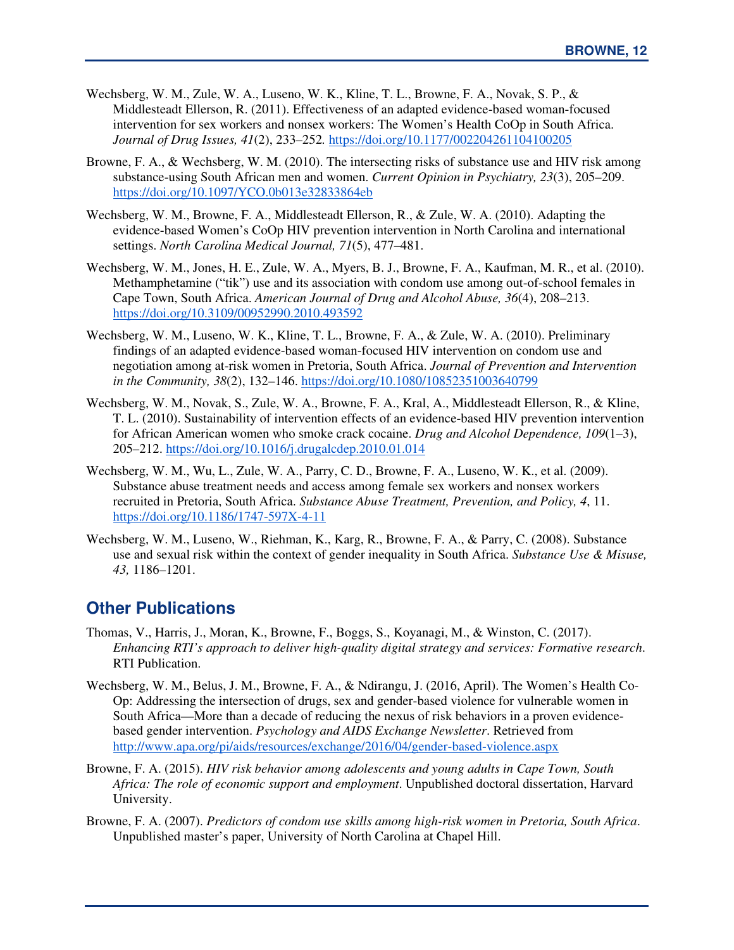- Wechsberg, W. M., Zule, W. A., Luseno, W. K., Kline, T. L., Browne, F. A., Novak, S. P., & Middlesteadt Ellerson, R. (2011). Effectiveness of an adapted evidence-based woman-focused intervention for sex workers and nonsex workers: The Women's Health CoOp in South Africa. *Journal of Drug Issues, 41*(2), 233–252*.* https://doi.org/10.1177/002204261104100205
- Browne, F. A., & Wechsberg, W. M. (2010). The intersecting risks of substance use and HIV risk among substance-using South African men and women. *Current Opinion in Psychiatry, 23*(3), 205–209. https://doi.org/10.1097/YCO.0b013e32833864eb
- Wechsberg, W. M., Browne, F. A., Middlesteadt Ellerson, R., & Zule, W. A. (2010). Adapting the evidence-based Women's CoOp HIV prevention intervention in North Carolina and international settings. *North Carolina Medical Journal, 71*(5), 477–481.
- Wechsberg, W. M., Jones, H. E., Zule, W. A., Myers, B. J., Browne, F. A., Kaufman, M. R., et al. (2010). Methamphetamine ("tik") use and its association with condom use among out-of-school females in Cape Town, South Africa. *American Journal of Drug and Alcohol Abuse, 36*(4), 208–213. https://doi.org/10.3109/00952990.2010.493592
- Wechsberg, W. M., Luseno, W. K., Kline, T. L., Browne, F. A., & Zule, W. A. (2010). Preliminary findings of an adapted evidence-based woman-focused HIV intervention on condom use and negotiation among at-risk women in Pretoria, South Africa. *Journal of Prevention and Intervention in the Community, 38*(2), 132–146. https://doi.org/10.1080/10852351003640799
- Wechsberg, W. M., Novak, S., Zule, W. A., Browne, F. A., Kral, A., Middlesteadt Ellerson, R., & Kline, T. L. (2010). Sustainability of intervention effects of an evidence-based HIV prevention intervention for African American women who smoke crack cocaine. *Drug and Alcohol Dependence, 109*(1–3), 205–212. https://doi.org/10.1016/j.drugalcdep.2010.01.014
- Wechsberg, W. M., Wu, L., Zule, W. A., Parry, C. D., Browne, F. A., Luseno, W. K., et al. (2009). Substance abuse treatment needs and access among female sex workers and nonsex workers recruited in Pretoria, South Africa. *Substance Abuse Treatment, Prevention, and Policy, 4*, 11. https://doi.org/10.1186/1747-597X-4-11
- Wechsberg, W. M., Luseno, W., Riehman, K., Karg, R., Browne, F. A., & Parry, C. (2008). Substance use and sexual risk within the context of gender inequality in South Africa. *Substance Use & Misuse, 43,* 1186–1201.

## **Other Publications**

- Thomas, V., Harris, J., Moran, K., Browne, F., Boggs, S., Koyanagi, M., & Winston, C. (2017). *Enhancing RTI's approach to deliver high-quality digital strategy and services: Formative research*. RTI Publication.
- Wechsberg, W. M., Belus, J. M., Browne, F. A., & Ndirangu, J. (2016, April). The Women's Health Co-Op: Addressing the intersection of drugs, sex and gender-based violence for vulnerable women in South Africa—More than a decade of reducing the nexus of risk behaviors in a proven evidencebased gender intervention. *Psychology and AIDS Exchange Newsletter*. Retrieved from http://www.apa.org/pi/aids/resources/exchange/2016/04/gender-based-violence.aspx
- Browne, F. A. (2015). *HIV risk behavior among adolescents and young adults in Cape Town, South Africa: The role of economic support and employment*. Unpublished doctoral dissertation, Harvard University.
- Browne, F. A. (2007). *Predictors of condom use skills among high-risk women in Pretoria, South Africa*. Unpublished master's paper, University of North Carolina at Chapel Hill.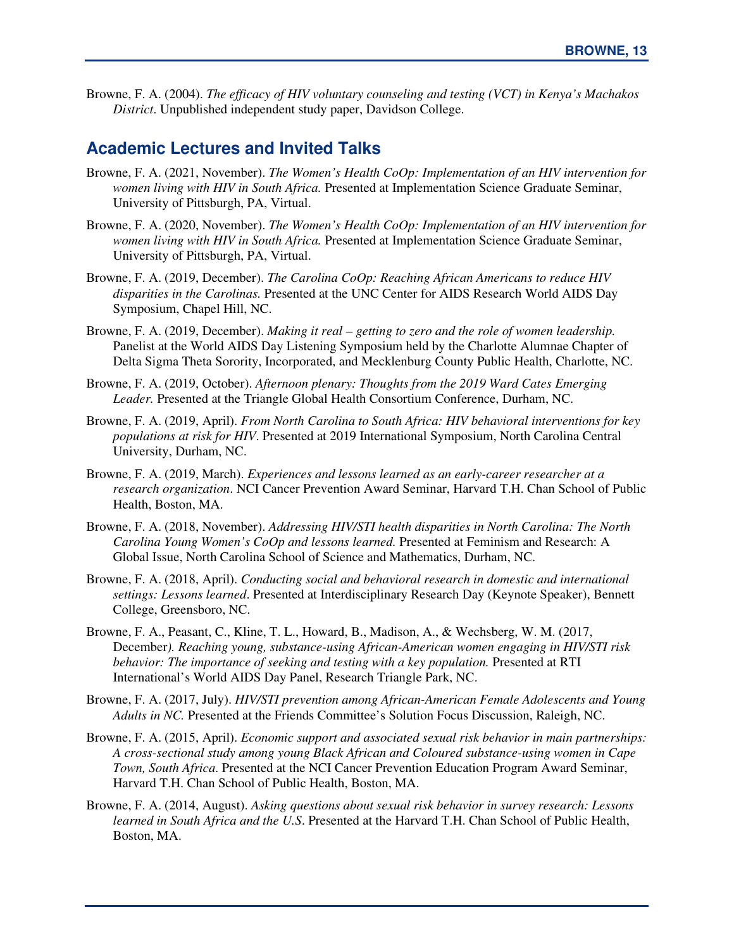Browne, F. A. (2004). *The efficacy of HIV voluntary counseling and testing (VCT) in Kenya's Machakos District*. Unpublished independent study paper, Davidson College.

#### **Academic Lectures and Invited Talks**

- Browne, F. A. (2021, November). *The Women's Health CoOp: Implementation of an HIV intervention for women living with HIV in South Africa.* Presented at Implementation Science Graduate Seminar, University of Pittsburgh, PA, Virtual.
- Browne, F. A. (2020, November). *The Women's Health CoOp: Implementation of an HIV intervention for women living with HIV in South Africa.* Presented at Implementation Science Graduate Seminar, University of Pittsburgh, PA, Virtual.
- Browne, F. A. (2019, December). *The Carolina CoOp: Reaching African Americans to reduce HIV disparities in the Carolinas.* Presented at the UNC Center for AIDS Research World AIDS Day Symposium, Chapel Hill, NC.
- Browne, F. A. (2019, December). *Making it real getting to zero and the role of women leadership.*  Panelist at the World AIDS Day Listening Symposium held by the Charlotte Alumnae Chapter of Delta Sigma Theta Sorority, Incorporated, and Mecklenburg County Public Health, Charlotte, NC.
- Browne, F. A. (2019, October). *Afternoon plenary: Thoughts from the 2019 Ward Cates Emerging Leader.* Presented at the Triangle Global Health Consortium Conference, Durham, NC.
- Browne, F. A. (2019, April). *From North Carolina to South Africa: HIV behavioral interventions for key populations at risk for HIV*. Presented at 2019 International Symposium, North Carolina Central University, Durham, NC.
- Browne, F. A. (2019, March). *Experiences and lessons learned as an early-career researcher at a research organization*. NCI Cancer Prevention Award Seminar, Harvard T.H. Chan School of Public Health, Boston, MA.
- Browne, F. A. (2018, November). *Addressing HIV/STI health disparities in North Carolina: The North Carolina Young Women's CoOp and lessons learned.* Presented at Feminism and Research: A Global Issue, North Carolina School of Science and Mathematics, Durham, NC.
- Browne, F. A. (2018, April). *Conducting social and behavioral research in domestic and international settings: Lessons learned*. Presented at Interdisciplinary Research Day (Keynote Speaker), Bennett College, Greensboro, NC.
- Browne, F. A., Peasant, C., Kline, T. L., Howard, B., Madison, A., & Wechsberg, W. M. (2017, December*). Reaching young, substance-using African-American women engaging in HIV/STI risk behavior: The importance of seeking and testing with a key population.* Presented at RTI International's World AIDS Day Panel, Research Triangle Park, NC.
- Browne, F. A. (2017, July). *HIV/STI prevention among African-American Female Adolescents and Young Adults in NC.* Presented at the Friends Committee's Solution Focus Discussion, Raleigh, NC.
- Browne, F. A. (2015, April). *Economic support and associated sexual risk behavior in main partnerships: A cross-sectional study among young Black African and Coloured substance-using women in Cape Town, South Africa*. Presented at the NCI Cancer Prevention Education Program Award Seminar, Harvard T.H. Chan School of Public Health, Boston, MA.
- Browne, F. A. (2014, August). *Asking questions about sexual risk behavior in survey research: Lessons learned in South Africa and the U.S*. Presented at the Harvard T.H. Chan School of Public Health, Boston, MA.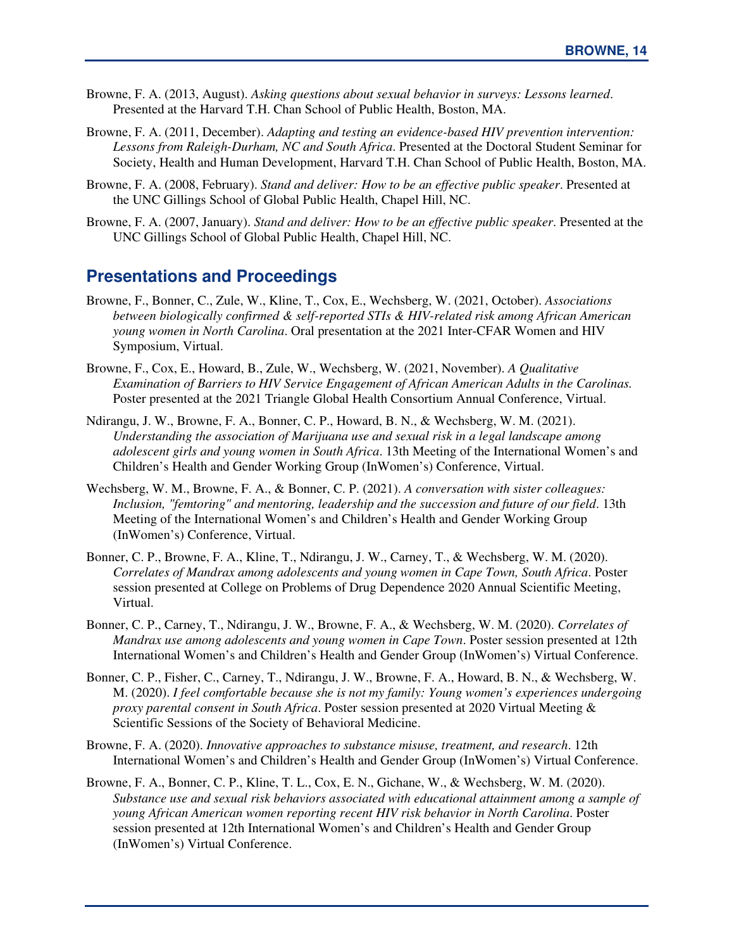- Browne, F. A. (2013, August). *Asking questions about sexual behavior in surveys: Lessons learned*. Presented at the Harvard T.H. Chan School of Public Health, Boston, MA.
- Browne, F. A. (2011, December). *Adapting and testing an evidence-based HIV prevention intervention: Lessons from Raleigh-Durham, NC and South Africa*. Presented at the Doctoral Student Seminar for Society, Health and Human Development, Harvard T.H. Chan School of Public Health, Boston, MA.
- Browne, F. A. (2008, February). *Stand and deliver: How to be an effective public speaker*. Presented at the UNC Gillings School of Global Public Health, Chapel Hill, NC.
- Browne, F. A. (2007, January). *Stand and deliver: How to be an effective public speaker*. Presented at the UNC Gillings School of Global Public Health, Chapel Hill, NC.

#### **Presentations and Proceedings**

- Browne, F., Bonner, C., Zule, W., Kline, T., Cox, E., Wechsberg, W. (2021, October). *Associations between biologically confirmed & self-reported STIs & HIV-related risk among African American young women in North Carolina*. Oral presentation at the 2021 Inter-CFAR Women and HIV Symposium, Virtual.
- Browne, F., Cox, E., Howard, B., Zule, W., Wechsberg, W. (2021, November). *A Qualitative Examination of Barriers to HIV Service Engagement of African American Adults in the Carolinas.* Poster presented at the 2021 Triangle Global Health Consortium Annual Conference, Virtual.
- Ndirangu, J. W., Browne, F. A., Bonner, C. P., Howard, B. N., & Wechsberg, W. M. (2021). *Understanding the association of Marijuana use and sexual risk in a legal landscape among adolescent girls and young women in South Africa*. 13th Meeting of the International Women's and Children's Health and Gender Working Group (InWomen's) Conference, Virtual.
- Wechsberg, W. M., Browne, F. A., & Bonner, C. P. (2021). *A conversation with sister colleagues: Inclusion, "femtoring" and mentoring, leadership and the succession and future of our field*. 13th Meeting of the International Women's and Children's Health and Gender Working Group (InWomen's) Conference, Virtual.
- Bonner, C. P., Browne, F. A., Kline, T., Ndirangu, J. W., Carney, T., & Wechsberg, W. M. (2020). *Correlates of Mandrax among adolescents and young women in Cape Town, South Africa*. Poster session presented at College on Problems of Drug Dependence 2020 Annual Scientific Meeting, Virtual.
- Bonner, C. P., Carney, T., Ndirangu, J. W., Browne, F. A., & Wechsberg, W. M. (2020). *Correlates of Mandrax use among adolescents and young women in Cape Town*. Poster session presented at 12th International Women's and Children's Health and Gender Group (InWomen's) Virtual Conference.
- Bonner, C. P., Fisher, C., Carney, T., Ndirangu, J. W., Browne, F. A., Howard, B. N., & Wechsberg, W. M. (2020). *I feel comfortable because she is not my family: Young women's experiences undergoing proxy parental consent in South Africa*. Poster session presented at 2020 Virtual Meeting & Scientific Sessions of the Society of Behavioral Medicine.
- Browne, F. A. (2020). *Innovative approaches to substance misuse, treatment, and research*. 12th International Women's and Children's Health and Gender Group (InWomen's) Virtual Conference.
- Browne, F. A., Bonner, C. P., Kline, T. L., Cox, E. N., Gichane, W., & Wechsberg, W. M. (2020). *Substance use and sexual risk behaviors associated with educational attainment among a sample of young African American women reporting recent HIV risk behavior in North Carolina*. Poster session presented at 12th International Women's and Children's Health and Gender Group (InWomen's) Virtual Conference.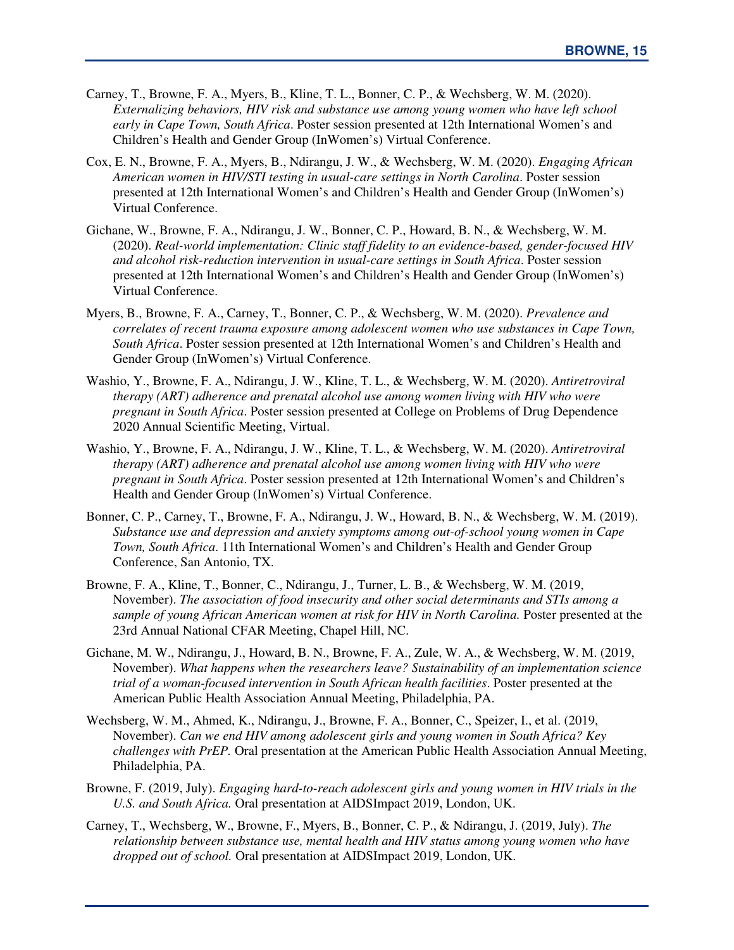- Carney, T., Browne, F. A., Myers, B., Kline, T. L., Bonner, C. P., & Wechsberg, W. M. (2020). *Externalizing behaviors, HIV risk and substance use among young women who have left school early in Cape Town, South Africa*. Poster session presented at 12th International Women's and Children's Health and Gender Group (InWomen's) Virtual Conference.
- Cox, E. N., Browne, F. A., Myers, B., Ndirangu, J. W., & Wechsberg, W. M. (2020). *Engaging African American women in HIV/STI testing in usual-care settings in North Carolina*. Poster session presented at 12th International Women's and Children's Health and Gender Group (InWomen's) Virtual Conference.
- Gichane, W., Browne, F. A., Ndirangu, J. W., Bonner, C. P., Howard, B. N., & Wechsberg, W. M. (2020). *Real-world implementation: Clinic staff fidelity to an evidence-based, gender-focused HIV and alcohol risk-reduction intervention in usual-care settings in South Africa*. Poster session presented at 12th International Women's and Children's Health and Gender Group (InWomen's) Virtual Conference.
- Myers, B., Browne, F. A., Carney, T., Bonner, C. P., & Wechsberg, W. M. (2020). *Prevalence and correlates of recent trauma exposure among adolescent women who use substances in Cape Town, South Africa*. Poster session presented at 12th International Women's and Children's Health and Gender Group (InWomen's) Virtual Conference.
- Washio, Y., Browne, F. A., Ndirangu, J. W., Kline, T. L., & Wechsberg, W. M. (2020). *Antiretroviral therapy (ART) adherence and prenatal alcohol use among women living with HIV who were pregnant in South Africa*. Poster session presented at College on Problems of Drug Dependence 2020 Annual Scientific Meeting, Virtual.
- Washio, Y., Browne, F. A., Ndirangu, J. W., Kline, T. L., & Wechsberg, W. M. (2020). *Antiretroviral therapy (ART) adherence and prenatal alcohol use among women living with HIV who were pregnant in South Africa*. Poster session presented at 12th International Women's and Children's Health and Gender Group (InWomen's) Virtual Conference.
- Bonner, C. P., Carney, T., Browne, F. A., Ndirangu, J. W., Howard, B. N., & Wechsberg, W. M. (2019). *Substance use and depression and anxiety symptoms among out-of-school young women in Cape Town, South Africa*. 11th International Women's and Children's Health and Gender Group Conference, San Antonio, TX.
- Browne, F. A., Kline, T., Bonner, C., Ndirangu, J., Turner, L. B., & Wechsberg, W. M. (2019, November). *The association of food insecurity and other social determinants and STIs among a*  sample of young African American women at risk for HIV in North Carolina. Poster presented at the 23rd Annual National CFAR Meeting, Chapel Hill, NC.
- Gichane, M. W., Ndirangu, J., Howard, B. N., Browne, F. A., Zule, W. A., & Wechsberg, W. M. (2019, November). *What happens when the researchers leave? Sustainability of an implementation science trial of a woman-focused intervention in South African health facilities*. Poster presented at the American Public Health Association Annual Meeting, Philadelphia, PA.
- Wechsberg, W. M., Ahmed, K., Ndirangu, J., Browne, F. A., Bonner, C., Speizer, I., et al. (2019, November). *Can we end HIV among adolescent girls and young women in South Africa? Key challenges with PrEP.* Oral presentation at the American Public Health Association Annual Meeting, Philadelphia, PA.
- Browne, F. (2019, July). *Engaging hard-to-reach adolescent girls and young women in HIV trials in the U.S. and South Africa.* Oral presentation at AIDSImpact 2019, London, UK.
- Carney, T., Wechsberg, W., Browne, F., Myers, B., Bonner, C. P., & Ndirangu, J. (2019, July). *The relationship between substance use, mental health and HIV status among young women who have dropped out of school.* Oral presentation at AIDSImpact 2019, London, UK.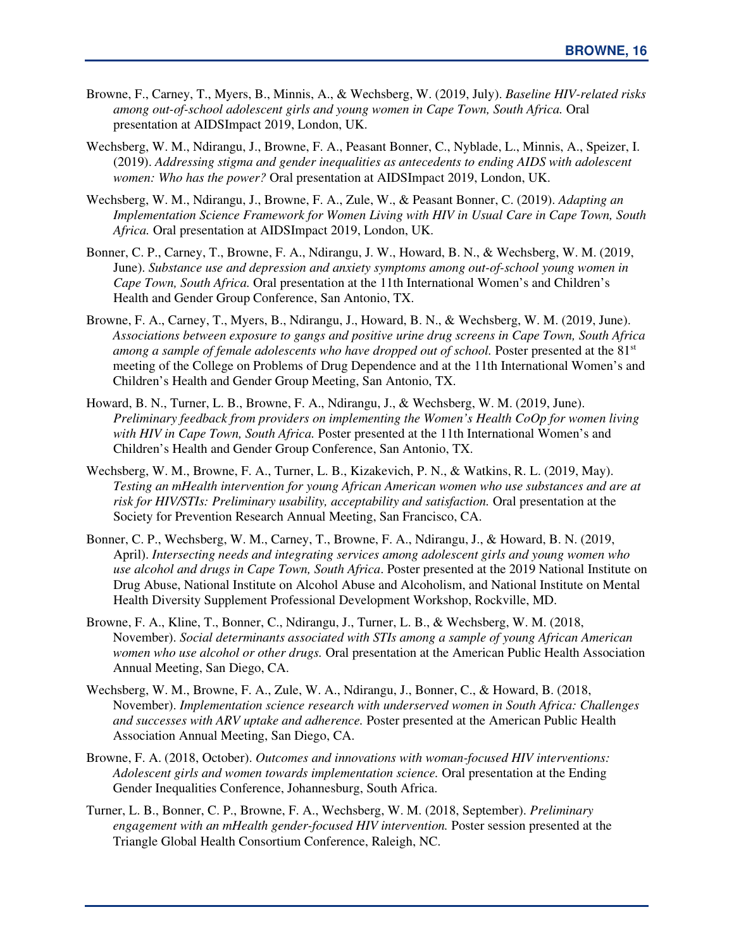- Browne, F., Carney, T., Myers, B., Minnis, A., & Wechsberg, W. (2019, July). *Baseline HIV-related risks among out-of-school adolescent girls and young women in Cape Town, South Africa.* Oral presentation at AIDSImpact 2019, London, UK.
- Wechsberg, W. M., Ndirangu, J., Browne, F. A., Peasant Bonner, C., Nyblade, L., Minnis, A., Speizer, I. (2019). *Addressing stigma and gender inequalities as antecedents to ending AIDS with adolescent women: Who has the power?* Oral presentation at AIDSImpact 2019, London, UK.
- Wechsberg, W. M., Ndirangu, J., Browne, F. A., Zule, W., & Peasant Bonner, C. (2019). *Adapting an Implementation Science Framework for Women Living with HIV in Usual Care in Cape Town, South Africa.* Oral presentation at AIDSImpact 2019, London, UK.
- Bonner, C. P., Carney, T., Browne, F. A., Ndirangu, J. W., Howard, B. N., & Wechsberg, W. M. (2019, June). *Substance use and depression and anxiety symptoms among out-of-school young women in Cape Town, South Africa.* Oral presentation at the 11th International Women's and Children's Health and Gender Group Conference, San Antonio, TX.
- Browne, F. A., Carney, T., Myers, B., Ndirangu, J., Howard, B. N., & Wechsberg, W. M. (2019, June). *Associations between exposure to gangs and positive urine drug screens in Cape Town, South Africa among a sample of female adolescents who have dropped out of school.* Poster presented at the 81<sup>st</sup> meeting of the College on Problems of Drug Dependence and at the 11th International Women's and Children's Health and Gender Group Meeting, San Antonio, TX.
- Howard, B. N., Turner, L. B., Browne, F. A., Ndirangu, J., & Wechsberg, W. M. (2019, June). *Preliminary feedback from providers on implementing the Women's Health CoOp for women living with HIV in Cape Town, South Africa.* Poster presented at the 11th International Women's and Children's Health and Gender Group Conference, San Antonio, TX.
- Wechsberg, W. M., Browne, F. A., Turner, L. B., Kizakevich, P. N., & Watkins, R. L. (2019, May). *Testing an mHealth intervention for young African American women who use substances and are at risk for HIV/STIs: Preliminary usability, acceptability and satisfaction.* Oral presentation at the Society for Prevention Research Annual Meeting, San Francisco, CA.
- Bonner, C. P., Wechsberg, W. M., Carney, T., Browne, F. A., Ndirangu, J., & Howard, B. N. (2019, April). *Intersecting needs and integrating services among adolescent girls and young women who use alcohol and drugs in Cape Town, South Africa*. Poster presented at the 2019 National Institute on Drug Abuse, National Institute on Alcohol Abuse and Alcoholism, and National Institute on Mental Health Diversity Supplement Professional Development Workshop, Rockville, MD.
- Browne, F. A., Kline, T., Bonner, C., Ndirangu, J., Turner, L. B., & Wechsberg, W. M. (2018, November). *Social determinants associated with STIs among a sample of young African American women who use alcohol or other drugs.* Oral presentation at the American Public Health Association Annual Meeting, San Diego, CA.
- Wechsberg, W. M., Browne, F. A., Zule, W. A., Ndirangu, J., Bonner, C., & Howard, B. (2018, November). *Implementation science research with underserved women in South Africa: Challenges and successes with ARV uptake and adherence.* Poster presented at the American Public Health Association Annual Meeting, San Diego, CA.
- Browne, F. A. (2018, October). *Outcomes and innovations with woman-focused HIV interventions: Adolescent girls and women towards implementation science.* Oral presentation at the Ending Gender Inequalities Conference, Johannesburg, South Africa.
- Turner, L. B., Bonner, C. P., Browne, F. A., Wechsberg, W. M. (2018, September). *Preliminary engagement with an mHealth gender-focused HIV intervention.* Poster session presented at the Triangle Global Health Consortium Conference, Raleigh, NC.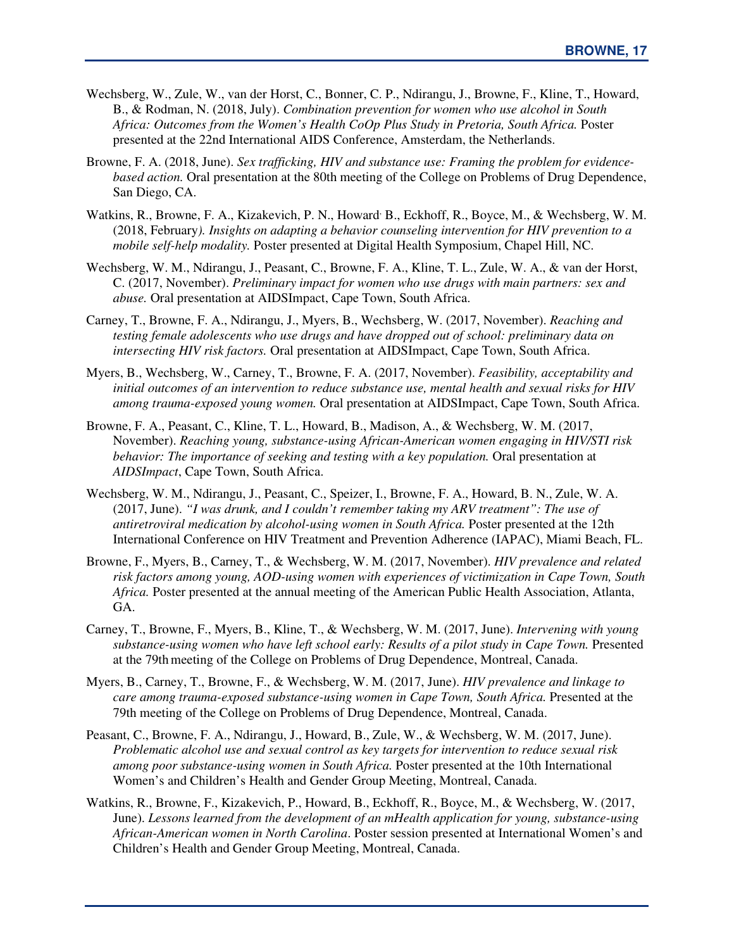- Wechsberg, W., Zule, W., van der Horst, C., Bonner, C. P., Ndirangu, J., Browne, F., Kline, T., Howard, B., & Rodman, N. (2018, July). *Combination prevention for women who use alcohol in South Africa: Outcomes from the Women's Health CoOp Plus Study in Pretoria, South Africa.* Poster presented at the 22nd International AIDS Conference, Amsterdam, the Netherlands.
- Browne, F. A. (2018, June). *Sex trafficking, HIV and substance use: Framing the problem for evidencebased action.* Oral presentation at the 80th meeting of the College on Problems of Drug Dependence, San Diego, CA.
- Watkins, R., Browne, F. A., Kizakevich, P. N., Howard<sup>,</sup> B., Eckhoff, R., Boyce, M., & Wechsberg, W. M. (2018, February*). Insights on adapting a behavior counseling intervention for HIV prevention to a mobile self-help modality.* Poster presented at Digital Health Symposium, Chapel Hill, NC.
- Wechsberg, W. M., Ndirangu, J., Peasant, C., Browne, F. A., Kline, T. L., Zule, W. A., & van der Horst, C. (2017, November). *Preliminary impact for women who use drugs with main partners: sex and abuse.* Oral presentation at AIDSImpact, Cape Town, South Africa.
- Carney, T., Browne, F. A., Ndirangu, J., Myers, B., Wechsberg, W. (2017, November). *Reaching and testing female adolescents who use drugs and have dropped out of school: preliminary data on intersecting HIV risk factors.* Oral presentation at AIDSImpact, Cape Town, South Africa.
- Myers, B., Wechsberg, W., Carney, T., Browne, F. A. (2017, November). *Feasibility, acceptability and initial outcomes of an intervention to reduce substance use, mental health and sexual risks for HIV among trauma-exposed young women.* Oral presentation at AIDSImpact, Cape Town, South Africa.
- Browne, F. A., Peasant, C., Kline, T. L., Howard, B., Madison, A., & Wechsberg, W. M. (2017, November). *Reaching young, substance-using African-American women engaging in HIV/STI risk behavior: The importance of seeking and testing with a key population.* Oral presentation at *AIDSImpact*, Cape Town, South Africa.
- Wechsberg, W. M., Ndirangu, J., Peasant, C., Speizer, I., Browne, F. A., Howard, B. N., Zule, W. A. (2017, June). *"I was drunk, and I couldn't remember taking my ARV treatment": The use of antiretroviral medication by alcohol-using women in South Africa.* Poster presented at the 12th International Conference on HIV Treatment and Prevention Adherence (IAPAC), Miami Beach, FL.
- Browne, F., Myers, B., Carney, T., & Wechsberg, W. M. (2017, November). *HIV prevalence and related risk factors among young, AOD-using women with experiences of victimization in Cape Town, South Africa.* Poster presented at the annual meeting of the American Public Health Association, Atlanta, GA.
- Carney, T., Browne, F., Myers, B., Kline, T., & Wechsberg, W. M. (2017, June). *Intervening with young*  substance-using women who have left school early: Results of a pilot study in Cape Town. Presented at the 79thmeeting of the College on Problems of Drug Dependence, Montreal, Canada.
- Myers, B., Carney, T., Browne, F., & Wechsberg, W. M. (2017, June). *HIV prevalence and linkage to care among trauma-exposed substance-using women in Cape Town, South Africa. Presented at the* 79th meeting of the College on Problems of Drug Dependence, Montreal, Canada.
- Peasant, C., Browne, F. A., Ndirangu, J., Howard, B., Zule, W., & Wechsberg, W. M. (2017, June). *Problematic alcohol use and sexual control as key targets for intervention to reduce sexual risk among poor substance-using women in South Africa.* Poster presented at the 10th International Women's and Children's Health and Gender Group Meeting, Montreal, Canada.
- Watkins, R., Browne, F., Kizakevich, P., Howard, B., Eckhoff, R., Boyce, M., & Wechsberg, W. (2017, June). *Lessons learned from the development of an mHealth application for young, substance-using African-American women in North Carolina*. Poster session presented at International Women's and Children's Health and Gender Group Meeting, Montreal, Canada.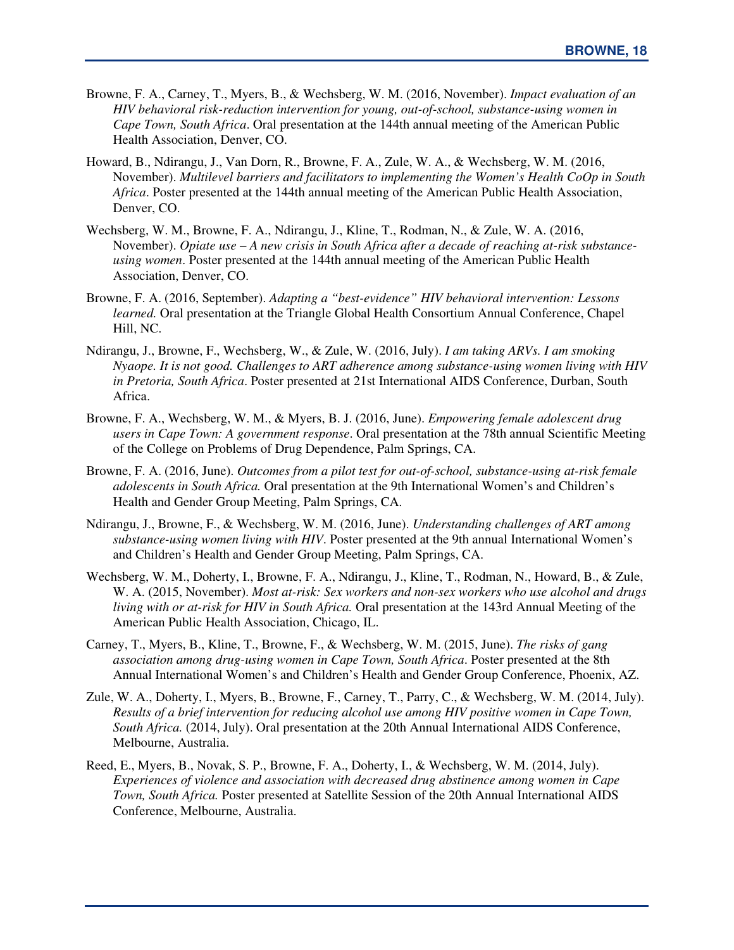- Browne, F. A., Carney, T., Myers, B., & Wechsberg, W. M. (2016, November). *Impact evaluation of an HIV behavioral risk-reduction intervention for young, out-of-school, substance-using women in Cape Town, South Africa*. Oral presentation at the 144th annual meeting of the American Public Health Association, Denver, CO.
- Howard, B., Ndirangu, J., Van Dorn, R., Browne, F. A., Zule, W. A., & Wechsberg, W. M. (2016, November). *Multilevel barriers and facilitators to implementing the Women's Health CoOp in South Africa*. Poster presented at the 144th annual meeting of the American Public Health Association, Denver, CO.
- Wechsberg, W. M., Browne, F. A., Ndirangu, J., Kline, T., Rodman, N., & Zule, W. A. (2016, November). *Opiate use – A new crisis in South Africa after a decade of reaching at-risk substanceusing women*. Poster presented at the 144th annual meeting of the American Public Health Association, Denver, CO.
- Browne, F. A. (2016, September). *Adapting a "best-evidence" HIV behavioral intervention: Lessons learned.* Oral presentation at the Triangle Global Health Consortium Annual Conference, Chapel Hill, NC.
- Ndirangu, J., Browne, F., Wechsberg, W., & Zule, W. (2016, July). *I am taking ARVs. I am smoking Nyaope. It is not good. Challenges to ART adherence among substance-using women living with HIV in Pretoria, South Africa*. Poster presented at 21st International AIDS Conference, Durban, South Africa.
- Browne, F. A., Wechsberg, W. M., & Myers, B. J. (2016, June). *Empowering female adolescent drug users in Cape Town: A government response*. Oral presentation at the 78th annual Scientific Meeting of the College on Problems of Drug Dependence, Palm Springs, CA.
- Browne, F. A. (2016, June). *Outcomes from a pilot test for out-of-school, substance-using at-risk female adolescents in South Africa.* Oral presentation at the 9th International Women's and Children's Health and Gender Group Meeting, Palm Springs, CA.
- Ndirangu, J., Browne, F., & Wechsberg, W. M. (2016, June). *Understanding challenges of ART among substance-using women living with HIV*. Poster presented at the 9th annual International Women's and Children's Health and Gender Group Meeting, Palm Springs, CA.
- Wechsberg, W. M., Doherty, I., Browne, F. A., Ndirangu, J., Kline, T., Rodman, N., Howard, B., & Zule, W. A. (2015, November). *Most at-risk: Sex workers and non-sex workers who use alcohol and drugs living with or at-risk for HIV in South Africa.* Oral presentation at the 143rd Annual Meeting of the American Public Health Association, Chicago, IL.
- Carney, T., Myers, B., Kline, T., Browne, F., & Wechsberg, W. M. (2015, June). *The risks of gang association among drug-using women in Cape Town, South Africa*. Poster presented at the 8th Annual International Women's and Children's Health and Gender Group Conference, Phoenix, AZ.
- Zule, W. A., Doherty, I., Myers, B., Browne, F., Carney, T., Parry, C., & Wechsberg, W. M. (2014, July). *Results of a brief intervention for reducing alcohol use among HIV positive women in Cape Town, South Africa.* (2014, July). Oral presentation at the 20th Annual International AIDS Conference, Melbourne, Australia.
- Reed, E., Myers, B., Novak, S. P., Browne, F. A., Doherty, I., & Wechsberg, W. M. (2014, July). *Experiences of violence and association with decreased drug abstinence among women in Cape Town, South Africa.* Poster presented at Satellite Session of the 20th Annual International AIDS Conference, Melbourne, Australia.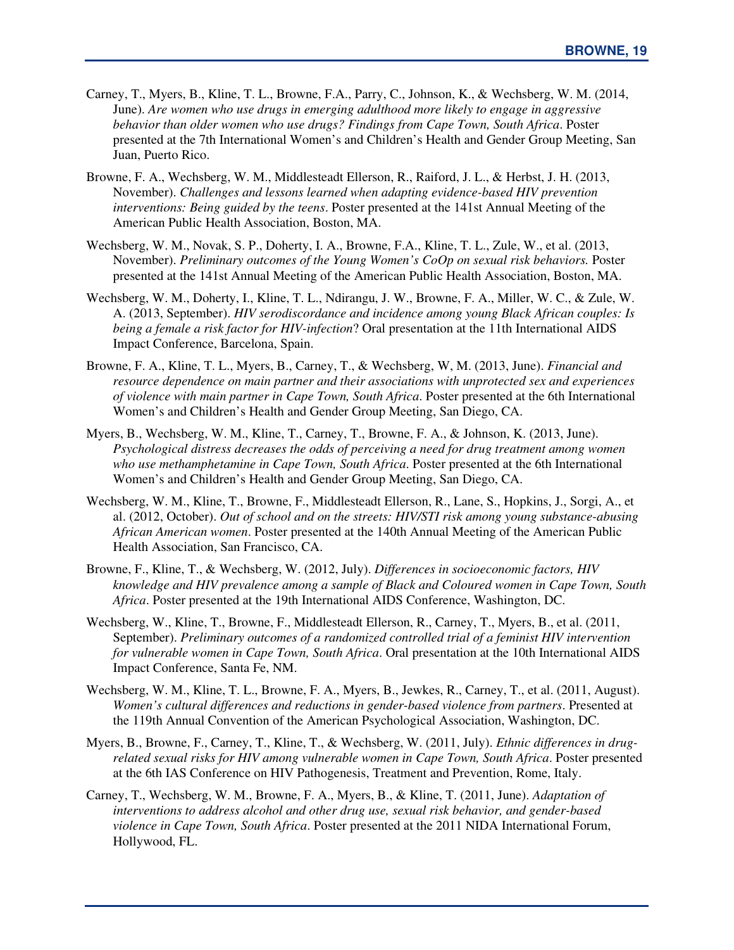- Carney, T., Myers, B., Kline, T. L., Browne, F.A., Parry, C., Johnson, K., & Wechsberg, W. M. (2014, June). *Are women who use drugs in emerging adulthood more likely to engage in aggressive behavior than older women who use drugs? Findings from Cape Town, South Africa*. Poster presented at the 7th International Women's and Children's Health and Gender Group Meeting, San Juan, Puerto Rico.
- Browne, F. A., Wechsberg, W. M., Middlesteadt Ellerson, R., Raiford, J. L., & Herbst, J. H. (2013, November). *Challenges and lessons learned when adapting evidence-based HIV prevention interventions: Being guided by the teens*. Poster presented at the 141st Annual Meeting of the American Public Health Association, Boston, MA.
- Wechsberg, W. M., Novak, S. P., Doherty, I. A., Browne, F.A., Kline, T. L., Zule, W., et al. (2013, November). *Preliminary outcomes of the Young Women's CoOp on sexual risk behaviors.* Poster presented at the 141st Annual Meeting of the American Public Health Association, Boston, MA.
- Wechsberg, W. M., Doherty, I., Kline, T. L., Ndirangu, J. W., Browne, F. A., Miller, W. C., & Zule, W. A. (2013, September). *HIV serodiscordance and incidence among young Black African couples: Is being a female a risk factor for HIV-infection*? Oral presentation at the 11th International AIDS Impact Conference, Barcelona, Spain.
- Browne, F. A., Kline, T. L., Myers, B., Carney, T., & Wechsberg, W, M. (2013, June). *Financial and resource dependence on main partner and their associations with unprotected sex and experiences of violence with main partner in Cape Town, South Africa*. Poster presented at the 6th International Women's and Children's Health and Gender Group Meeting, San Diego, CA.
- Myers, B., Wechsberg, W. M., Kline, T., Carney, T., Browne, F. A., & Johnson, K. (2013, June). *Psychological distress decreases the odds of perceiving a need for drug treatment among women who use methamphetamine in Cape Town, South Africa*. Poster presented at the 6th International Women's and Children's Health and Gender Group Meeting, San Diego, CA.
- Wechsberg, W. M., Kline, T., Browne, F., Middlesteadt Ellerson, R., Lane, S., Hopkins, J., Sorgi, A., et al. (2012, October). *Out of school and on the streets: HIV/STI risk among young substance-abusing African American women*. Poster presented at the 140th Annual Meeting of the American Public Health Association, San Francisco, CA.
- Browne, F., Kline, T., & Wechsberg, W. (2012, July). *Differences in socioeconomic factors, HIV knowledge and HIV prevalence among a sample of Black and Coloured women in Cape Town, South Africa*. Poster presented at the 19th International AIDS Conference, Washington, DC.
- Wechsberg, W., Kline, T., Browne, F., Middlesteadt Ellerson, R., Carney, T., Myers, B., et al. (2011, September). *Preliminary outcomes of a randomized controlled trial of a feminist HIV intervention for vulnerable women in Cape Town, South Africa*. Oral presentation at the 10th International AIDS Impact Conference, Santa Fe, NM.
- Wechsberg, W. M., Kline, T. L., Browne, F. A., Myers, B., Jewkes, R., Carney, T., et al. (2011, August). *Women's cultural differences and reductions in gender-based violence from partners*. Presented at the 119th Annual Convention of the American Psychological Association, Washington, DC.
- Myers, B., Browne, F., Carney, T., Kline, T., & Wechsberg, W. (2011, July). *Ethnic differences in drugrelated sexual risks for HIV among vulnerable women in Cape Town, South Africa*. Poster presented at the 6th IAS Conference on HIV Pathogenesis, Treatment and Prevention, Rome, Italy.
- Carney, T., Wechsberg, W. M., Browne, F. A., Myers, B., & Kline, T. (2011, June). *Adaptation of interventions to address alcohol and other drug use, sexual risk behavior, and gender-based violence in Cape Town, South Africa*. Poster presented at the 2011 NIDA International Forum, Hollywood, FL.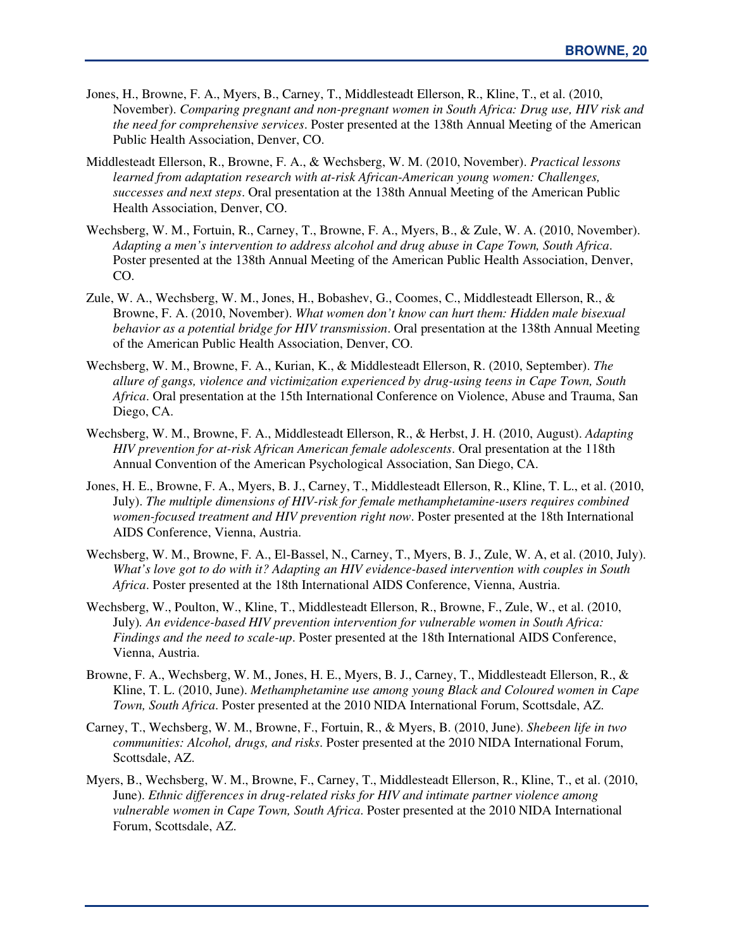- Jones, H., Browne, F. A., Myers, B., Carney, T., Middlesteadt Ellerson, R., Kline, T., et al. (2010, November). *Comparing pregnant and non-pregnant women in South Africa: Drug use, HIV risk and the need for comprehensive services*. Poster presented at the 138th Annual Meeting of the American Public Health Association, Denver, CO.
- Middlesteadt Ellerson, R., Browne, F. A., & Wechsberg, W. M. (2010, November). *Practical lessons learned from adaptation research with at-risk African-American young women: Challenges, successes and next steps*. Oral presentation at the 138th Annual Meeting of the American Public Health Association, Denver, CO.
- Wechsberg, W. M., Fortuin, R., Carney, T., Browne, F. A., Myers, B., & Zule, W. A. (2010, November). *Adapting a men's intervention to address alcohol and drug abuse in Cape Town, South Africa*. Poster presented at the 138th Annual Meeting of the American Public Health Association, Denver, CO.
- Zule, W. A., Wechsberg, W. M., Jones, H., Bobashev, G., Coomes, C., Middlesteadt Ellerson, R., & Browne, F. A. (2010, November). *What women don't know can hurt them: Hidden male bisexual behavior as a potential bridge for HIV transmission*. Oral presentation at the 138th Annual Meeting of the American Public Health Association, Denver, CO.
- Wechsberg, W. M., Browne, F. A., Kurian, K., & Middlesteadt Ellerson, R. (2010, September). *The allure of gangs, violence and victimization experienced by drug-using teens in Cape Town, South Africa*. Oral presentation at the 15th International Conference on Violence, Abuse and Trauma, San Diego, CA.
- Wechsberg, W. M., Browne, F. A., Middlesteadt Ellerson, R., & Herbst, J. H. (2010, August). *Adapting HIV prevention for at-risk African American female adolescents*. Oral presentation at the 118th Annual Convention of the American Psychological Association, San Diego, CA.
- Jones, H. E., Browne, F. A., Myers, B. J., Carney, T., Middlesteadt Ellerson, R., Kline, T. L., et al. (2010, July). *The multiple dimensions of HIV-risk for female methamphetamine-users requires combined women-focused treatment and HIV prevention right now*. Poster presented at the 18th International AIDS Conference, Vienna, Austria.
- Wechsberg, W. M., Browne, F. A., El-Bassel, N., Carney, T., Myers, B. J., Zule, W. A, et al. (2010, July). *What's love got to do with it? Adapting an HIV evidence-based intervention with couples in South Africa*. Poster presented at the 18th International AIDS Conference, Vienna, Austria.
- Wechsberg, W., Poulton, W., Kline, T., Middlesteadt Ellerson, R., Browne, F., Zule, W., et al. (2010, July)*. An evidence-based HIV prevention intervention for vulnerable women in South Africa: Findings and the need to scale-up*. Poster presented at the 18th International AIDS Conference, Vienna, Austria.
- Browne, F. A., Wechsberg, W. M., Jones, H. E., Myers, B. J., Carney, T., Middlesteadt Ellerson, R., & Kline, T. L. (2010, June). *Methamphetamine use among young Black and Coloured women in Cape Town, South Africa*. Poster presented at the 2010 NIDA International Forum, Scottsdale, AZ.
- Carney, T., Wechsberg, W. M., Browne, F., Fortuin, R., & Myers, B. (2010, June). *Shebeen life in two communities: Alcohol, drugs, and risks*. Poster presented at the 2010 NIDA International Forum, Scottsdale, AZ.
- Myers, B., Wechsberg, W. M., Browne, F., Carney, T., Middlesteadt Ellerson, R., Kline, T., et al. (2010, June). *Ethnic differences in drug-related risks for HIV and intimate partner violence among vulnerable women in Cape Town, South Africa*. Poster presented at the 2010 NIDA International Forum, Scottsdale, AZ.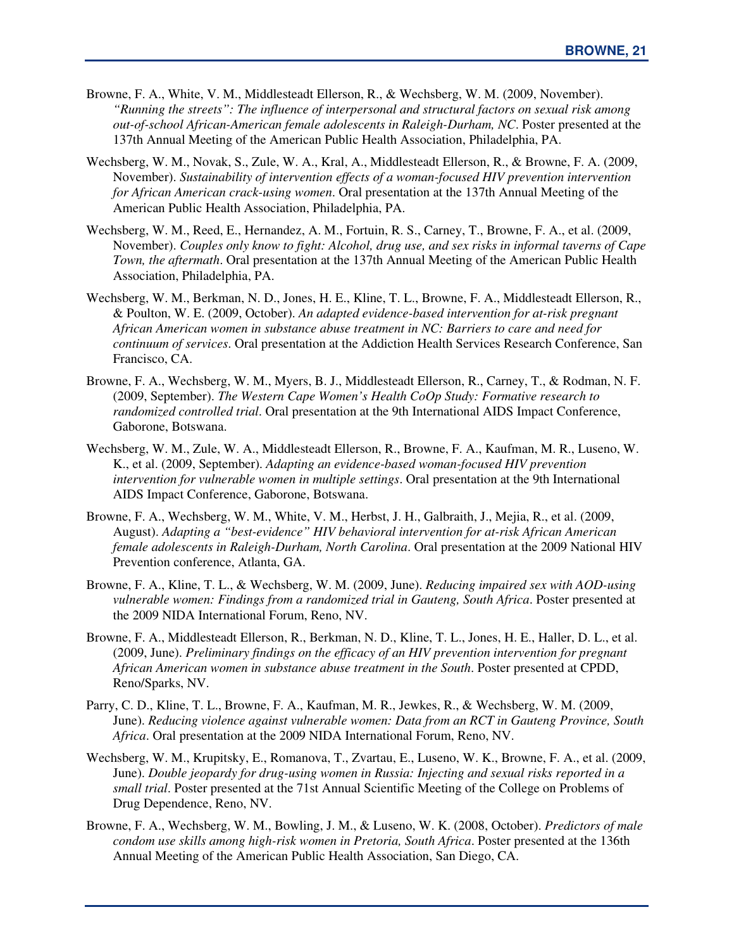- Browne, F. A., White, V. M., Middlesteadt Ellerson, R., & Wechsberg, W. M. (2009, November). *"Running the streets": The influence of interpersonal and structural factors on sexual risk among out-of-school African-American female adolescents in Raleigh-Durham, NC*. Poster presented at the 137th Annual Meeting of the American Public Health Association, Philadelphia, PA.
- Wechsberg, W. M., Novak, S., Zule, W. A., Kral, A., Middlesteadt Ellerson, R., & Browne, F. A. (2009, November). *Sustainability of intervention effects of a woman-focused HIV prevention intervention for African American crack-using women*. Oral presentation at the 137th Annual Meeting of the American Public Health Association, Philadelphia, PA.
- Wechsberg, W. M., Reed, E., Hernandez, A. M., Fortuin, R. S., Carney, T., Browne, F. A., et al. (2009, November). *Couples only know to fight: Alcohol, drug use, and sex risks in informal taverns of Cape Town, the aftermath*. Oral presentation at the 137th Annual Meeting of the American Public Health Association, Philadelphia, PA.
- Wechsberg, W. M., Berkman, N. D., Jones, H. E., Kline, T. L., Browne, F. A., Middlesteadt Ellerson, R., & Poulton, W. E. (2009, October). *An adapted evidence-based intervention for at-risk pregnant African American women in substance abuse treatment in NC: Barriers to care and need for continuum of services*. Oral presentation at the Addiction Health Services Research Conference, San Francisco, CA.
- Browne, F. A., Wechsberg, W. M., Myers, B. J., Middlesteadt Ellerson, R., Carney, T., & Rodman, N. F. (2009, September). *The Western Cape Women's Health CoOp Study: Formative research to randomized controlled trial*. Oral presentation at the 9th International AIDS Impact Conference, Gaborone, Botswana.
- Wechsberg, W. M., Zule, W. A., Middlesteadt Ellerson, R., Browne, F. A., Kaufman, M. R., Luseno, W. K., et al. (2009, September). *Adapting an evidence-based woman-focused HIV prevention intervention for vulnerable women in multiple settings*. Oral presentation at the 9th International AIDS Impact Conference, Gaborone, Botswana.
- Browne, F. A., Wechsberg, W. M., White, V. M., Herbst, J. H., Galbraith, J., Mejia, R., et al. (2009, August). *Adapting a "best-evidence" HIV behavioral intervention for at-risk African American female adolescents in Raleigh-Durham, North Carolina*. Oral presentation at the 2009 National HIV Prevention conference, Atlanta, GA.
- Browne, F. A., Kline, T. L., & Wechsberg, W. M. (2009, June). *Reducing impaired sex with AOD-using vulnerable women: Findings from a randomized trial in Gauteng, South Africa*. Poster presented at the 2009 NIDA International Forum, Reno, NV.
- Browne, F. A., Middlesteadt Ellerson, R., Berkman, N. D., Kline, T. L., Jones, H. E., Haller, D. L., et al. (2009, June). *Preliminary findings on the efficacy of an HIV prevention intervention for pregnant African American women in substance abuse treatment in the South*. Poster presented at CPDD, Reno/Sparks, NV.
- Parry, C. D., Kline, T. L., Browne, F. A., Kaufman, M. R., Jewkes, R., & Wechsberg, W. M. (2009, June). *Reducing violence against vulnerable women: Data from an RCT in Gauteng Province, South Africa*. Oral presentation at the 2009 NIDA International Forum, Reno, NV.
- Wechsberg, W. M., Krupitsky, E., Romanova, T., Zvartau, E., Luseno, W. K., Browne, F. A., et al. (2009, June). *Double jeopardy for drug-using women in Russia: Injecting and sexual risks reported in a small trial*. Poster presented at the 71st Annual Scientific Meeting of the College on Problems of Drug Dependence, Reno, NV.
- Browne, F. A., Wechsberg, W. M., Bowling, J. M., & Luseno, W. K. (2008, October). *Predictors of male condom use skills among high-risk women in Pretoria, South Africa*. Poster presented at the 136th Annual Meeting of the American Public Health Association, San Diego, CA.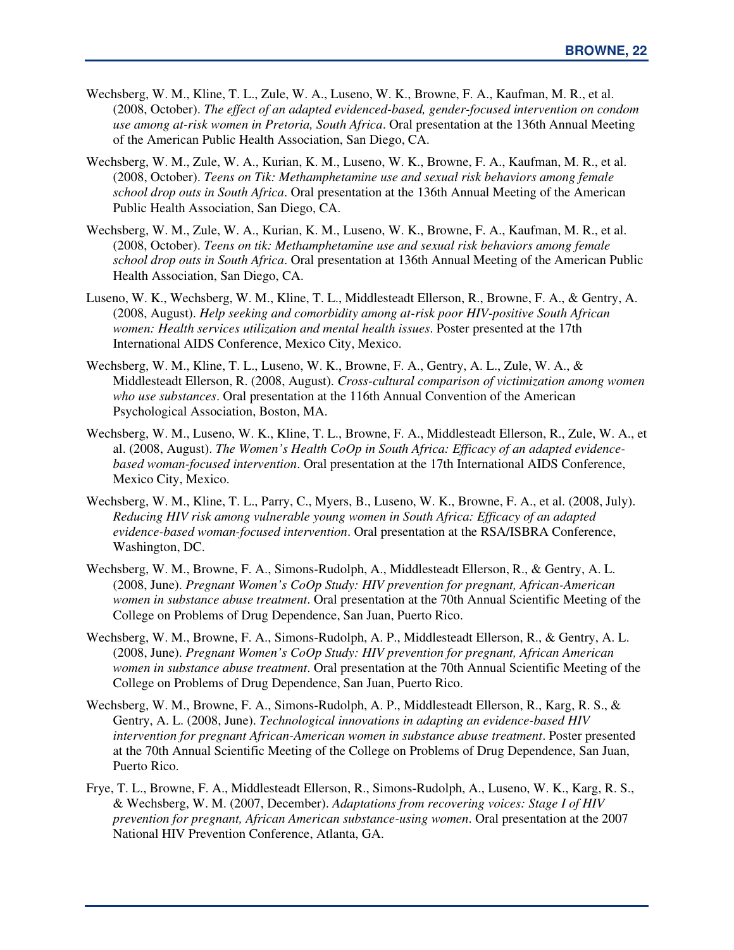- Wechsberg, W. M., Kline, T. L., Zule, W. A., Luseno, W. K., Browne, F. A., Kaufman, M. R., et al. (2008, October). *The effect of an adapted evidenced-based, gender-focused intervention on condom use among at-risk women in Pretoria, South Africa*. Oral presentation at the 136th Annual Meeting of the American Public Health Association, San Diego, CA.
- Wechsberg, W. M., Zule, W. A., Kurian, K. M., Luseno, W. K., Browne, F. A., Kaufman, M. R., et al. (2008, October). *Teens on Tik: Methamphetamine use and sexual risk behaviors among female school drop outs in South Africa*. Oral presentation at the 136th Annual Meeting of the American Public Health Association, San Diego, CA.
- Wechsberg, W. M., Zule, W. A., Kurian, K. M., Luseno, W. K., Browne, F. A., Kaufman, M. R., et al. (2008, October). *Teens on tik: Methamphetamine use and sexual risk behaviors among female school drop outs in South Africa*. Oral presentation at 136th Annual Meeting of the American Public Health Association, San Diego, CA.
- Luseno, W. K., Wechsberg, W. M., Kline, T. L., Middlesteadt Ellerson, R., Browne, F. A., & Gentry, A. (2008, August). *Help seeking and comorbidity among at-risk poor HIV-positive South African women: Health services utilization and mental health issues*. Poster presented at the 17th International AIDS Conference, Mexico City, Mexico.
- Wechsberg, W. M., Kline, T. L., Luseno, W. K., Browne, F. A., Gentry, A. L., Zule, W. A., & Middlesteadt Ellerson, R. (2008, August). *Cross-cultural comparison of victimization among women who use substances*. Oral presentation at the 116th Annual Convention of the American Psychological Association, Boston, MA.
- Wechsberg, W. M., Luseno, W. K., Kline, T. L., Browne, F. A., Middlesteadt Ellerson, R., Zule, W. A., et al. (2008, August). *The Women's Health CoOp in South Africa: Efficacy of an adapted evidencebased woman-focused intervention*. Oral presentation at the 17th International AIDS Conference, Mexico City, Mexico.
- Wechsberg, W. M., Kline, T. L., Parry, C., Myers, B., Luseno, W. K., Browne, F. A., et al. (2008, July). *Reducing HIV risk among vulnerable young women in South Africa: Efficacy of an adapted evidence-based woman-focused intervention*. Oral presentation at the RSA/ISBRA Conference, Washington, DC.
- Wechsberg, W. M., Browne, F. A., Simons-Rudolph, A., Middlesteadt Ellerson, R., & Gentry, A. L. (2008, June). *Pregnant Women's CoOp Study: HIV prevention for pregnant, African-American women in substance abuse treatment*. Oral presentation at the 70th Annual Scientific Meeting of the College on Problems of Drug Dependence, San Juan, Puerto Rico.
- Wechsberg, W. M., Browne, F. A., Simons-Rudolph, A. P., Middlesteadt Ellerson, R., & Gentry, A. L. (2008, June). *Pregnant Women's CoOp Study: HIV prevention for pregnant, African American women in substance abuse treatment*. Oral presentation at the 70th Annual Scientific Meeting of the College on Problems of Drug Dependence, San Juan, Puerto Rico.
- Wechsberg, W. M., Browne, F. A., Simons-Rudolph, A. P., Middlesteadt Ellerson, R., Karg, R. S., & Gentry, A. L. (2008, June). *Technological innovations in adapting an evidence-based HIV intervention for pregnant African-American women in substance abuse treatment*. Poster presented at the 70th Annual Scientific Meeting of the College on Problems of Drug Dependence, San Juan, Puerto Rico.
- Frye, T. L., Browne, F. A., Middlesteadt Ellerson, R., Simons-Rudolph, A., Luseno, W. K., Karg, R. S., & Wechsberg, W. M. (2007, December). *Adaptations from recovering voices: Stage I of HIV prevention for pregnant, African American substance-using women*. Oral presentation at the 2007 National HIV Prevention Conference, Atlanta, GA.